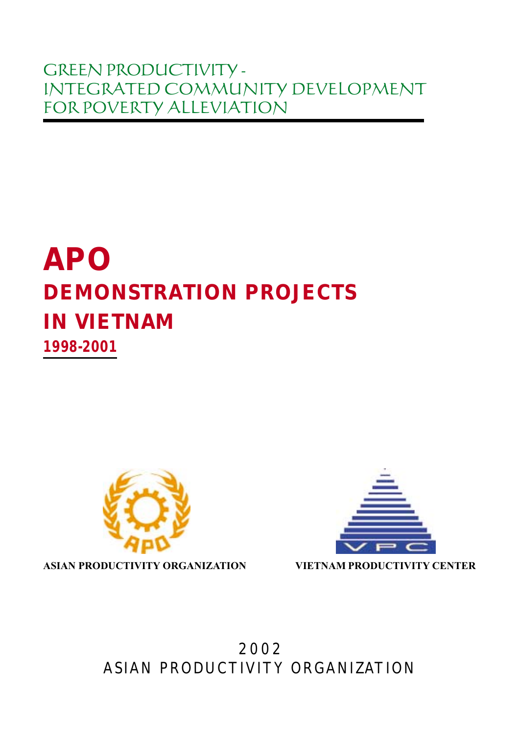GREEN PRODUCTIVITY - INTEGRATED COMMUNITY DEVELOPMENT FOR POVERTY ALLEVIATION

# **APO DEMONSTRATION PROJECTS IN VIETNAM 1998-2001**



**ASIAN PRODUCTIVITY ORGANIZATION VIETNAM PRODUCTIVITY CENTER**



2002 ASIAN PRODUCTIVITY ORGANIZATION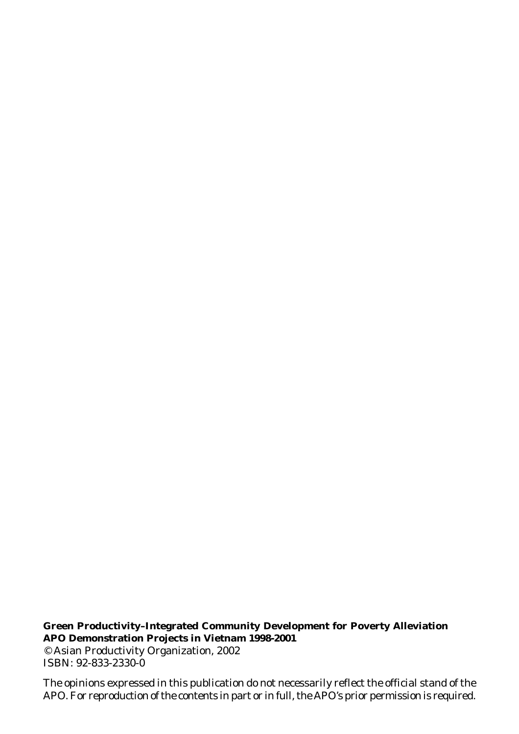**Green Productivity–Integrated Community Development for Poverty Alleviation APO Demonstration Projects in Vietnam 1998-2001** © Asian Productivity Organization, 2002 ISBN: 92-833-2330-0

The opinions expressed in this publication do not necessarily reflect the official stand of the APO. For reproduction of the contents in part or in full, the APO's prior permission is required.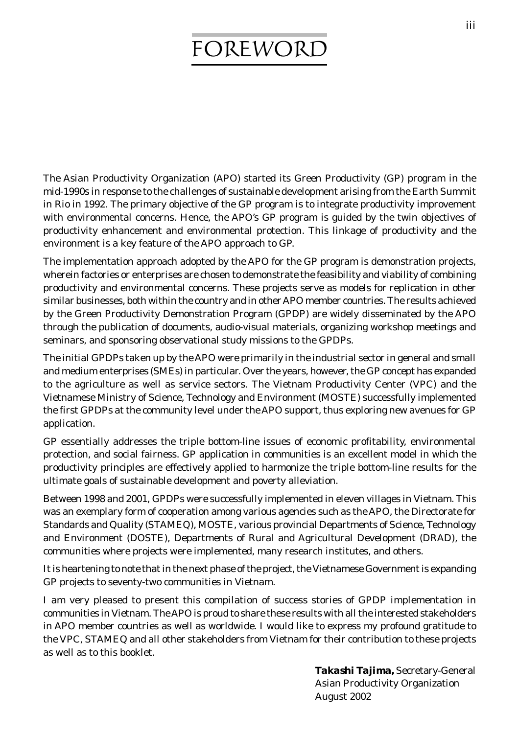## FOREWORD

The Asian Productivity Organization (APO) started its Green Productivity (GP) program in the mid-1990s in response to the challenges of sustainable development arising from the Earth Summit in Rio in 1992. The primary objective of the GP program is to integrate productivity improvement with environmental concerns. Hence, the APO's GP program is guided by the twin objectives of productivity enhancement and environmental protection. This linkage of productivity and the environment is a key feature of the APO approach to GP.

The implementation approach adopted by the APO for the GP program is demonstration projects, wherein factories or enterprises are chosen to demonstrate the feasibility and viability of combining productivity and environmental concerns. These projects serve as models for replication in other similar businesses, both within the country and in other APO member countries. The results achieved by the Green Productivity Demonstration Program (GPDP) are widely disseminated by the APO through the publication of documents, audio-visual materials, organizing workshop meetings and seminars, and sponsoring observational study missions to the GPDPs.

The initial GPDPs taken up by the APO were primarily in the industrial sector in general and small and medium enterprises (SMEs) in particular. Over the years, however, the GP concept has expanded to the agriculture as well as service sectors. The Vietnam Productivity Center (VPC) and the Vietnamese Ministry of Science, Technology and Environment (MOSTE) successfully implemented the first GPDPs at the community level under the APO support, thus exploring new avenues for GP application.

GP essentially addresses the triple bottom-line issues of economic profitability, environmental protection, and social fairness. GP application in communities is an excellent model in which the productivity principles are effectively applied to harmonize the triple bottom-line results for the ultimate goals of sustainable development and poverty alleviation.

Between 1998 and 2001, GPDPs were successfully implemented in eleven villages in Vietnam. This was an exemplary form of cooperation among various agencies such as the APO, the Directorate for Standards and Quality (STAMEQ), MOSTE, various provincial Departments of Science, Technology and Environment (DOSTE), Departments of Rural and Agricultural Development (DRAD), the communities where projects were implemented, many research institutes, and others.

It is heartening to note that in the next phase of the project, the Vietnamese Government is expanding GP projects to seventy-two communities in Vietnam.

I am very pleased to present this compilation of success stories of GPDP implementation in communities in Vietnam. The APO is proud to share these results with all the interested stakeholders in APO member countries as well as worldwide. I would like to express my profound gratitude to the VPC, STAMEQ and all other stakeholders from Vietnam for their contribution to these projects as well as to this booklet.

> *Takashi Tajima,* Secretary-General Asian Productivity Organization August 2002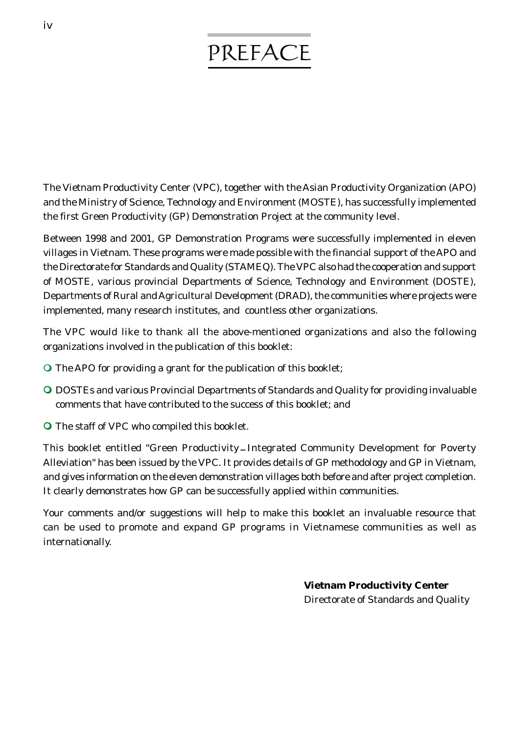# PREFACE

The Vietnam Productivity Center (VPC), together with the Asian Productivity Organization (APO) and the Ministry of Science, Technology and Environment (MOSTE), has successfully implemented the first Green Productivity (GP) Demonstration Project at the community level.

Between 1998 and 2001, GP Demonstration Programs were successfully implemented in eleven villages in Vietnam. These programs were made possible with the financial support of the APO and the Directorate for Standards and Quality (STAMEQ). The VPC also had the cooperation and support of MOSTE, various provincial Departments of Science, Technology and Environment (DOSTE), Departments of Rural and Agricultural Development (DRAD), the communities where projects were implemented, many research institutes, and countless other organizations.

The VPC would like to thank all the above-mentioned organizations and also the following organizations involved in the publication of this booklet:

- O The APO for providing a grant for the publication of this booklet;
- DOSTEs and various Provincial Departments of Standards and Quality for providing invaluable comments that have contributed to the success of this booklet; and
- **O** The staff of VPC who compiled this booklet.

This booklet entitled "Green Productivity–Integrated Community Development for Poverty Alleviation" has been issued by the VPC. It provides details of GP methodology and GP in Vietnam, and gives information on the eleven demonstration villages both before and after project completion. It clearly demonstrates how GP can be successfully applied within communities.

Your comments and/or suggestions will help to make this booklet an invaluable resource that can be used to promote and expand GP programs in Vietnamese communities as well as internationally.

> **Vietnam Productivity Center** Directorate of Standards and Quality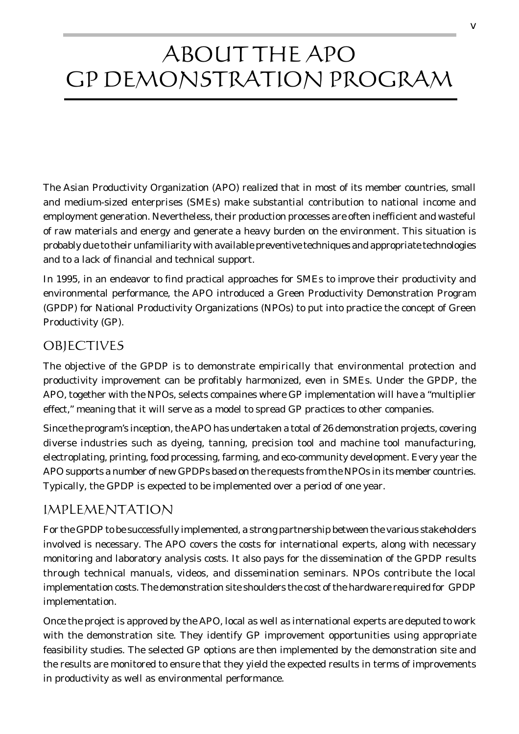## ABOUT THE APO GP DEMONSTRATION PROGRAM

The Asian Productivity Organization (APO) realized that in most of its member countries, small and medium-sized enterprises (SMEs) make substantial contribution to national income and employment generation. Nevertheless, their production processes are often inefficient and wasteful of raw materials and energy and generate a heavy burden on the environment. This situation is probably due to their unfamiliarity with available preventive techniques and appropriate technologies and to a lack of financial and technical support.

In 1995, in an endeavor to find practical approaches for SMEs to improve their productivity and environmental performance, the APO introduced a Green Productivity Demonstration Program (GPDP) for National Productivity Organizations (NPOs) to put into practice the concept of Green Productivity (GP).

## **OBJECTIVES**

The objective of the GPDP is to demonstrate empirically that environmental protection and productivity improvement can be profitably harmonized, even in SMEs. Under the GPDP, the APO, together with the NPOs, selects compaines where GP implementation will have a "multiplier effect," meaning that it will serve as a model to spread GP practices to other companies.

Since the program's inception, the APO has undertaken a total of 26 demonstration projects, covering diverse industries such as dyeing, tanning, precision tool and machine tool manufacturing, electroplating, printing, food processing, farming, and eco-community development. Every year the APO supports a number of new GPDPs based on the requests from the NPOs in its member countries. Typically, the GPDP is expected to be implemented over a period of one year.

## IMPLEMENTATION

For the GPDP to be successfully implemented, a strong partnership between the various stakeholders involved is necessary. The APO covers the costs for international experts, along with necessary monitoring and laboratory analysis costs. It also pays for the dissemination of the GPDP results through technical manuals, videos, and dissemination seminars. NPOs contribute the local implementation costs. The demonstration site shoulders the cost of the hardware required for GPDP implementation.

Once the project is approved by the APO, local as well as international experts are deputed to work with the demonstration site. They identify GP improvement opportunities using appropriate feasibility studies. The selected GP options are then implemented by the demonstration site and the results are monitored to ensure that they yield the expected results in terms of improvements in productivity as well as environmental performance.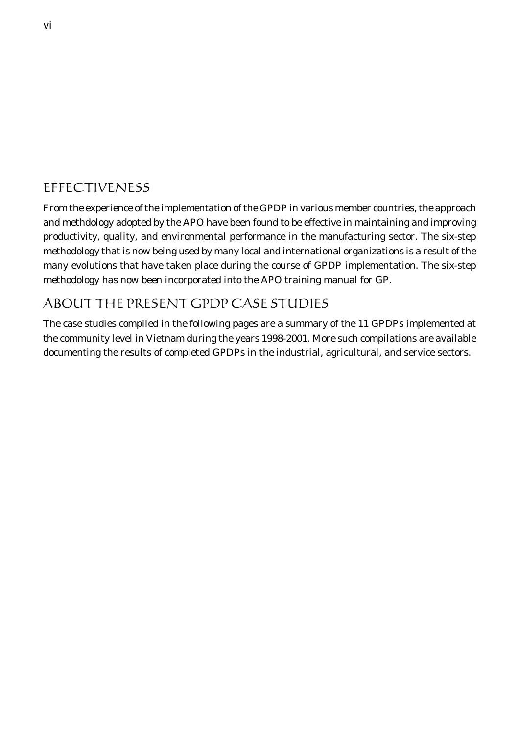## EFFECTIVENESS

From the experience of the implementation of the GPDP in various member countries, the approach and methdology adopted by the APO have been found to be effective in maintaining and improving productivity, quality, and environmental performance in the manufacturing sector. The six-step methodology that is now being used by many local and international organizations is a result of the many evolutions that have taken place during the course of GPDP implementation. The six-step methodology has now been incorporated into the APO training manual for GP.

## ABOUT THE PRESENT GPDP CASE STUDIES

The case studies compiled in the following pages are a summary of the 11 GPDPs implemented at the community level in Vietnam during the years 1998-2001. More such compilations are available documenting the results of completed GPDPs in the industrial, agricultural, and service sectors.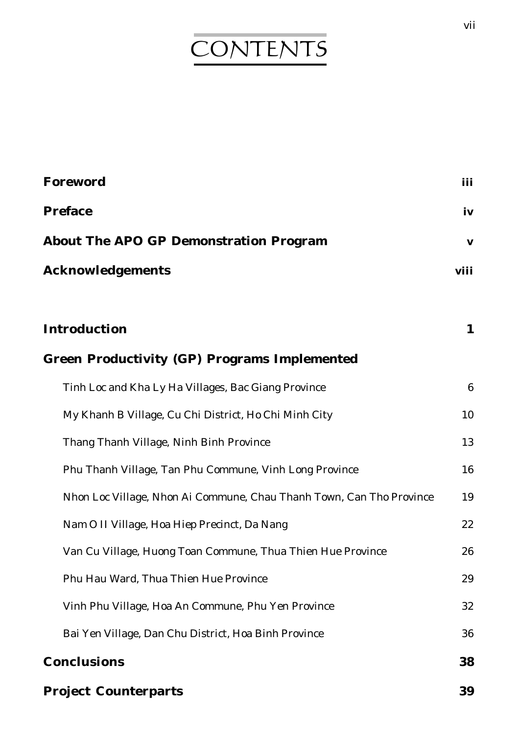# **CONTENTS**

| Foreword                                                             | iii             |  |  |  |
|----------------------------------------------------------------------|-----------------|--|--|--|
| Preface                                                              | iv              |  |  |  |
| About The APO GP Demonstration Program                               |                 |  |  |  |
| Acknowledgements                                                     | viii            |  |  |  |
|                                                                      |                 |  |  |  |
| Introduction                                                         | $\mathbf{1}$    |  |  |  |
| Green Productivity (GP) Programs Implemented                         |                 |  |  |  |
| Tinh Loc and Kha Ly Ha Villages, Bac Giang Province                  | $6\phantom{.}6$ |  |  |  |
| My Khanh B Village, Cu Chi District, Ho Chi Minh City                | 10              |  |  |  |
| Thang Thanh Village, Ninh Binh Province                              | 13              |  |  |  |
| Phu Thanh Village, Tan Phu Commune, Vinh Long Province               | 16              |  |  |  |
| Nhon Loc Village, Nhon Ai Commune, Chau Thanh Town, Can Tho Province | 19              |  |  |  |
| Nam O II Village, Hoa Hiep Precinct, Da Nang                         | 22              |  |  |  |
| Van Cu Village, Huong Toan Commune, Thua Thien Hue Province          | 26              |  |  |  |
| Phu Hau Ward, Thua Thien Hue Province                                | 29              |  |  |  |
| Vinh Phu Village, Hoa An Commune, Phu Yen Province                   | 32              |  |  |  |
| Bai Yen Village, Dan Chu District, Hoa Binh Province                 | 36              |  |  |  |
| Conclusions                                                          |                 |  |  |  |
| <b>Project Counterparts</b>                                          |                 |  |  |  |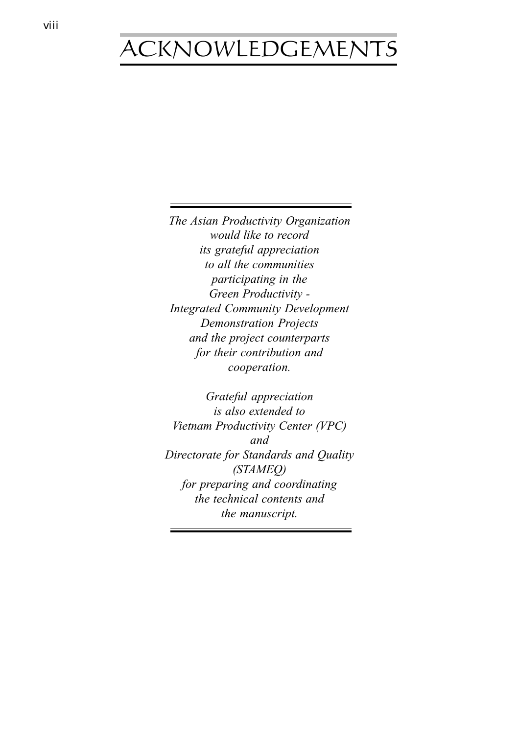## ACKNOWLEDGEMENTS

*The Asian Productivity Organization would like to record its grateful appreciation to all the communities participating in the Green Productivity - Integrated Community Development Demonstration Projects and the project counterparts for their contribution and cooperation.*

*Grateful appreciation is also extended to Vietnam Productivity Center (VPC) and Directorate for Standards and Quality (STAMEQ) for preparing and coordinating the technical contents and the manuscript.*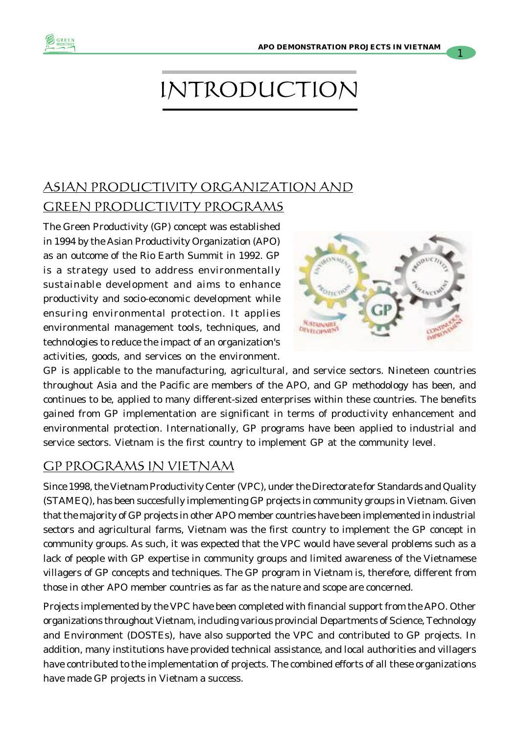1



## INTRODUCTION

## ASIAN PRODUCTIVITY ORGANIZATION AND GREEN PRODUCTIVITY PROGRAMS

The Green Productivity (GP) concept was established in 1994 by the Asian Productivity Organization (APO) as an outcome of the Rio Earth Summit in 1992. GP is a strategy used to address environmentally sustainable development and aims to enhance productivity and socio-economic development while ensuring environmental protection. It applies environmental management tools, techniques, and technologies to reduce the impact of an organization's activities, goods, and services on the environment.



GP is applicable to the manufacturing, agricultural, and service sectors. Nineteen countries throughout Asia and the Pacific are members of the APO, and GP methodology has been, and continues to be, applied to many different-sized enterprises within these countries. The benefits gained from GP implementation are significant in terms of productivity enhancement and environmental protection. Internationally, GP programs have been applied to industrial and service sectors. Vietnam is the first country to implement GP at the community level.

## GP PROGRAMS IN VIETNAM

Since 1998, the Vietnam Productivity Center (VPC), under the Directorate for Standards and Quality (STAMEQ), has been succesfully implementing GP projects in community groups in Vietnam. Given that the majority of GP projects in other APO member countries have been implemented in industrial sectors and agricultural farms, Vietnam was the first country to implement the GP concept in community groups. As such, it was expected that the VPC would have several problems such as a lack of people with GP expertise in community groups and limited awareness of the Vietnamese villagers of GP concepts and techniques. The GP program in Vietnam is, therefore, different from those in other APO member countries as far as the nature and scope are concerned.

Projects implemented by the VPC have been completed with financial support from the APO. Other organizations throughout Vietnam, including various provincial Departments of Science, Technology and Environment (DOSTEs), have also supported the VPC and contributed to GP projects. In addition, many institutions have provided technical assistance, and local authorities and villagers have contributed to the implementation of projects. The combined efforts of all these organizations have made GP projects in Vietnam a success.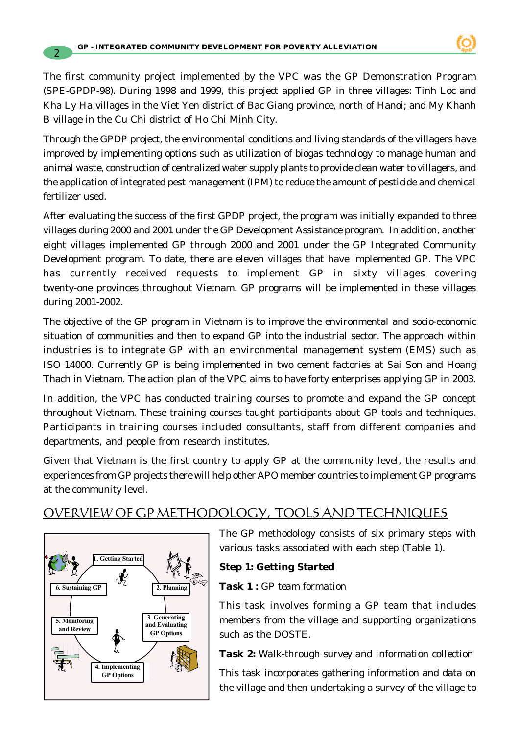

The first community project implemented by the VPC was the GP Demonstration Program *(SPE-GPDP-98)*. During 1998 and 1999, this project applied GP in three villages: Tinh Loc and Kha Ly Ha villages in the Viet Yen district of Bac Giang province, north of Hanoi; and My Khanh B village in the Cu Chi district of Ho Chi Minh City.

Through the GPDP project, the environmental conditions and living standards of the villagers have improved by implementing options such as utilization of biogas technology to manage human and animal waste, construction of centralized water supply plants to provide clean water to villagers, and the application of integrated pest management (IPM) to reduce the amount of pesticide and chemical fertilizer used.

After evaluating the success of the first GPDP project, the program was initially expanded to three villages during 2000 and 2001 under the GP Development Assistance program. In addition, another eight villages implemented GP through 2000 and 2001 under the GP Integrated Community Development program. To date, there are eleven villages that have implemented GP. The VPC has currently received requests to implement GP in sixty villages covering twenty-one provinces throughout Vietnam. GP programs will be implemented in these villages during 2001-2002.

The objective of the GP program in Vietnam is to improve the environmental and socio-economic situation of communities and then to expand GP into the industrial sector. The approach within industries is to integrate GP with an environmental management system (EMS) such as ISO 14000. Currently GP is being implemented in two cement factories at Sai Son and Hoang Thach in Vietnam. The action plan of the VPC aims to have forty enterprises applying GP in 2003.

In addition, the VPC has conducted training courses to promote and expand the GP concept throughout Vietnam. These training courses taught participants about GP tools and techniques. Participants in training courses included consultants, staff from different companies and departments, and people from research institutes.

Given that Vietnam is the first country to apply GP at the community level, the results and experiences from GP projects there will help other APO member countries to implement GP programs at the community level.

## OVERVIEW OF GP METHODOLOGY, TOOLS AND TECHNIQUES



The GP methodology consists of six primary steps with various tasks associated with each step (Table 1).

**Step 1: Getting Started**

#### *Task 1 : GP team formation*

This task involves forming a GP team that includes members from the village and supporting organizations such as the DOSTE.

#### *Task 2: Walk-through survey and information collection*

This task incorporates gathering information and data on the village and then undertaking a survey of the village to

 $\mathcal{P}$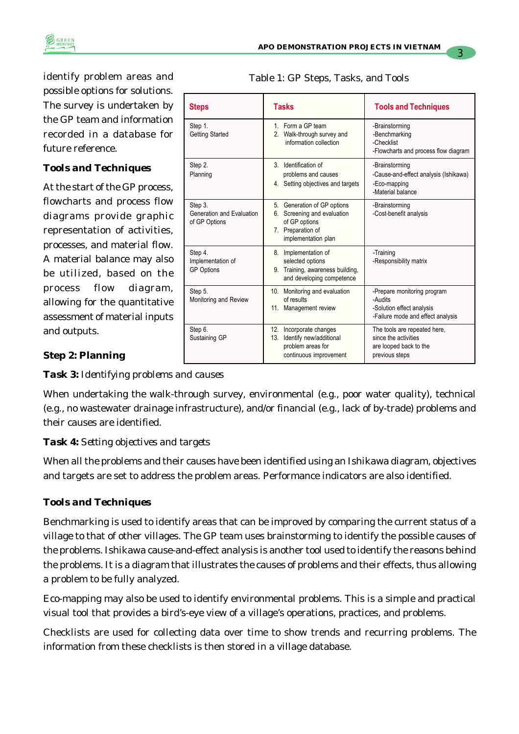

Table 1: GP Steps, Tasks, and Tools

identify problem areas and possible options for solutions. The survey is undertaken by the GP team and information recorded in a database for future reference.

#### *Tools and Techniques*

At the start of the GP process, flowcharts and process flow diagrams provide graphic representation of activities, processes, and material flow. A material balance may also be utilized, based on the process flow diagram, allowing for the quantitative assessment of material inputs and outputs.

#### Step 1. The step 1. Form a GP team and the Brainstorming Getting Started 1 2. Walk-through survey and -Benchmarking information collection  $\blacksquare$  -Checklist -Flowcharts and process flow diagram Step 2. 3. Identification of -Brainstorming Planning **Problems and causes** -Cause-and-effect analysis (Ishikawa) 4. Setting objectives and targets | -Eco-mapping -Material balance Step 3. 5. Generation of GP options -Brainstorming<br>
Generation and Evaluation 6. Screening and evaluation -Cost-benefit a 6. Screening and evaluation **cost-benefit analysis** of GP Options and GP options of GP options 7. Preparation of implementation plan Step 4. 1. 8. Implementation of 1. Training<br>Implementation of the selected options -Respons -Responsibility matrix GP Options 9. Training, awareness building, and developing competence Step 5. 10. Nonitoring and evaluation Frepare monitoring program Monitoring and Review and Ferry of results and the Audits 11. Management review **-Solution effect analysis** -Failure mode and effect analysis Step 6. 12. Incorporate changes The tools are repeated here,<br>Sustaining GP 13. Identify new/additional since the activities 13. Identify new/additional since the activities problem areas for **are looped back to the Steps Tasks** Tasks Tools and Techniques

continuous improvement previous steps

#### **Step 2: Planning**

#### *Task 3: Identifying problems and causes*

When undertaking the walk-through survey, environmental (e.g., poor water quality), technical (e.g., no wastewater drainage infrastructure), and/or financial (e.g., lack of by-trade) problems and their causes are identified.

#### *Task 4: Setting objectives and targets*

When all the problems and their causes have been identified using an Ishikawa diagram, objectives and targets are set to address the problem areas. Performance indicators are also identified.

#### *Tools and Techniques*

Benchmarking is used to identify areas that can be improved by comparing the current status of a village to that of other villages. The GP team uses brainstorming to identify the possible causes of the problems. Ishikawa cause-and-effect analysis is another tool used to identify the reasons behind the problems. It is a diagram that illustrates the causes of problems and their effects, thus allowing a problem to be fully analyzed.

Eco-mapping may also be used to identify environmental problems. This is a simple and practical visual tool that provides a bird's-eye view of a village's operations, practices, and problems.

Checklists are used for collecting data over time to show trends and recurring problems. The information from these checklists is then stored in a village database.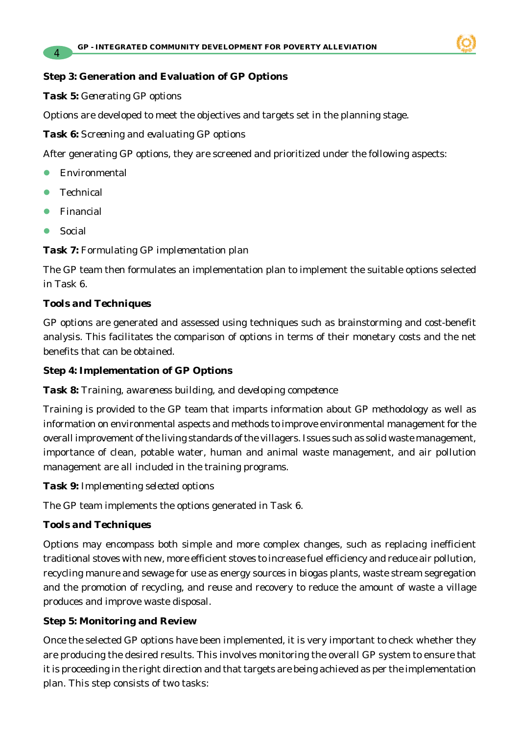

#### **Step 3: Generation and Evaluation of GP Options**

#### *Task 5: Generating GP options*

Options are developed to meet the objectives and targets set in the planning stage.

#### *Task 6: Screening and evaluating GP options*

After generating GP options, they are screened and prioritized under the following aspects:

- Environmental
- Technical
- Financial
- Social

#### *Task 7: Formulating GP implementation plan*

The GP team then formulates an implementation plan to implement the suitable options selected in Task 6.

#### *Tools and Techniques*

GP options are generated and assessed using techniques such as brainstorming and cost-benefit analysis. This facilitates the comparison of options in terms of their monetary costs and the net benefits that can be obtained.

#### **Step 4: Implementation of GP Options**

#### *Task 8: Training, awareness building, and developing competence*

Training is provided to the GP team that imparts information about GP methodology as well as information on environmental aspects and methods to improve environmental management for the overall improvement of the living standards of the villagers. Issues such as solid waste management, importance of clean, potable water, human and animal waste management, and air pollution management are all included in the training programs.

#### *Task 9: Implementing selected options*

The GP team implements the options generated in Task 6.

#### *Tools and Techniques*

Options may encompass both simple and more complex changes, such as replacing inefficient traditional stoves with new, more efficient stoves to increase fuel efficiency and reduce air pollution, recycling manure and sewage for use as energy sources in biogas plants, waste stream segregation and the promotion of recycling, and reuse and recovery to reduce the amount of waste a village produces and improve waste disposal.

#### **Step 5: Monitoring and Review**

Once the selected GP options have been implemented, it is very important to check whether they are producing the desired results. This involves monitoring the overall GP system to ensure that it is proceeding in the right direction and that targets are being achieved as per the implementation plan. This step consists of two tasks: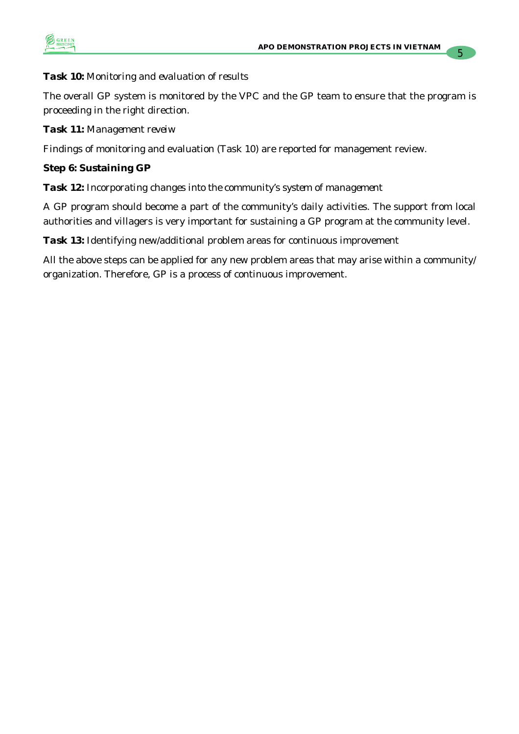

#### *Task 10: Monitoring and evaluation of results*

The overall GP system is monitored by the VPC and the GP team to ensure that the program is proceeding in the right direction.

#### *Task 11: Management reveiw*

Findings of monitoring and evaluation (Task 10) are reported for management review.

**Step 6: Sustaining GP**

#### *Task 12: Incorporating changes into the community's system of management*

A GP program should become a part of the community's daily activities. The support from local authorities and villagers is very important for sustaining a GP program at the community level.

*Task 13:* Identifying new/additional problem areas for continuous improvement

All the above steps can be applied for any new problem areas that may arise within a community/ organization. Therefore, GP is a process of continuous improvement.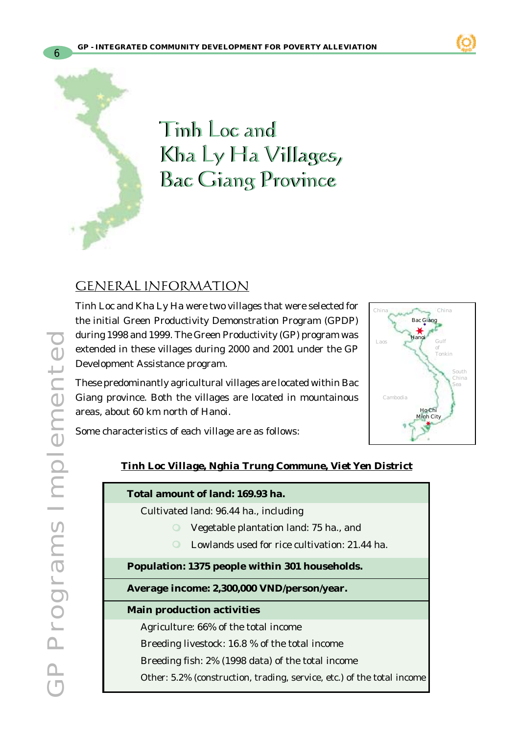

## GENERAL INFORMATION

Tinh Loc and Kha Ly Ha were two villages that were selected for the initial Green Productivity Demonstration Program (GPDP) during 1998 and 1999. The Green Productivity (GP) program was extended in these villages during 2000 and 2001 under the GP Development Assistance program.

These predominantly agricultural villages are located within Bac Giang province. Both the villages are located in mountainous areas, about 60 km north of Hanoi.



Some characteristics of each village are as follows:

#### *Tinh Loc Village, Nghia Trung Commune, Viet Yen District*

| Total amount of land: 169.93 ha.                                       |  |  |  |  |  |
|------------------------------------------------------------------------|--|--|--|--|--|
| Cultivated land: 96.44 ha., including                                  |  |  |  |  |  |
| Vegetable plantation land: 75 ha., and                                 |  |  |  |  |  |
| Lowlands used for rice cultivation: 21.44 ha.                          |  |  |  |  |  |
| Population: 1375 people within 301 households.                         |  |  |  |  |  |
| Average income: 2,300,000 VND/person/year.                             |  |  |  |  |  |
| Main production activities                                             |  |  |  |  |  |
| Agriculture: 66% of the total income                                   |  |  |  |  |  |
| Breeding livestock: 16.8 % of the total income                         |  |  |  |  |  |
| Breeding fish: 2% (1998 data) of the total income                      |  |  |  |  |  |
| Other: 5.2% (construction, trading, service, etc.) of the total income |  |  |  |  |  |

GP Programs Implemented GP Programs Implemented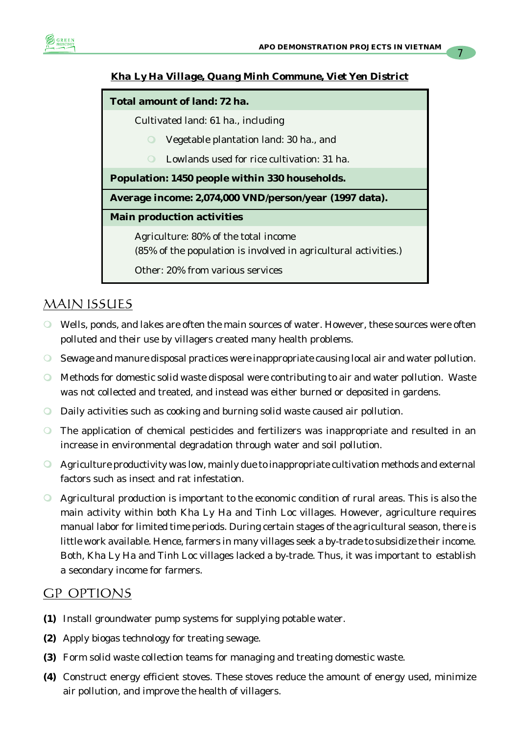

*Kha Ly Ha Village, Quang Minh Commune, Viet Yen District*

| Total amount of land: 72 ha.                                                                                                                |
|---------------------------------------------------------------------------------------------------------------------------------------------|
| Cultivated land: 61 ha., including                                                                                                          |
| Vegetable plantation land: 30 ha., and                                                                                                      |
| Lowlands used for rice cultivation: 31 ha.                                                                                                  |
| Population: 1450 people within 330 households.                                                                                              |
| Average income: 2,074,000 VND/person/year (1997 data).                                                                                      |
| Main production activities                                                                                                                  |
| Agriculture: 80% of the total income<br>(85% of the population is involved in agricultural activities.)<br>Other: 20% from various services |

#### MAIN ISSUES

- Wells, ponds, and lakes are often the main sources of water. However, these sources were often polluted and their use by villagers created many health problems.
- Sewage and manure disposal practices were inappropriate causing local air and water pollution.
- Methods for domestic solid waste disposal were contributing to air and water pollution. Waste was not collected and treated, and instead was either burned or deposited in gardens.
- Daily activities such as cooking and burning solid waste caused air pollution.
- The application of chemical pesticides and fertilizers was inappropriate and resulted in an increase in environmental degradation through water and soil pollution.
- Agriculture productivity was low, mainly due to inappropriate cultivation methods and external factors such as insect and rat infestation.
- Agricultural production is important to the economic condition of rural areas. This is also the main activity within both Kha Ly Ha and Tinh Loc villages. However, agriculture requires manual labor for limited time periods. During certain stages of the agricultural season, there is little work available. Hence, farmers in many villages seek a by-trade to subsidize their income. Both, Kha Ly Ha and Tinh Loc villages lacked a by-trade. Thus, it was important to establish a secondary income for farmers.

#### GP OPTIONS

- **(1)** Install groundwater pump systems for supplying potable water.
- **(2)** Apply biogas technology for treating sewage.
- **(3)** Form solid waste collection teams for managing and treating domestic waste.
- **(4)** Construct energy efficient stoves. These stoves reduce the amount of energy used, minimize air pollution, and improve the health of villagers.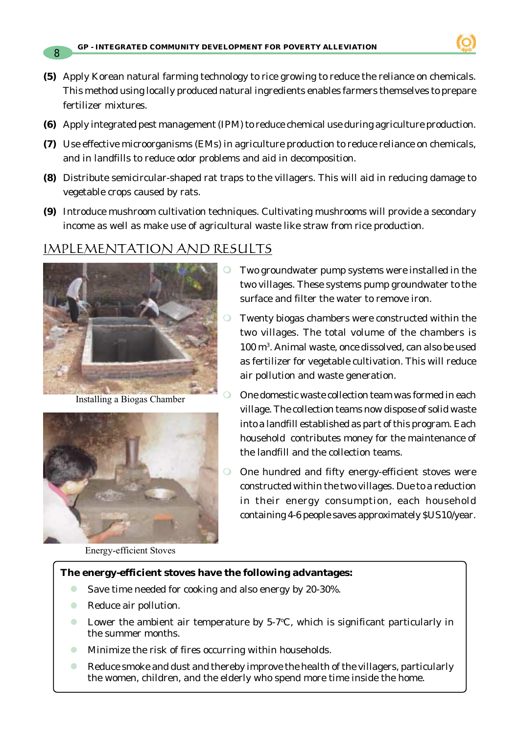- **(5)** Apply Korean natural farming technology to rice growing to reduce the reliance on chemicals. This method using locally produced natural ingredients enables farmers themselves to prepare fertilizer mixtures.
- **(6)** Apply integrated pest management (IPM) to reduce chemical use during agriculture production.
- **(7)** Use effective microorganisms (EMs) in agriculture production to reduce reliance on chemicals, and in landfills to reduce odor problems and aid in decomposition.
- **(8)** Distribute semicircular-shaped rat traps to the villagers. This will aid in reducing damage to vegetable crops caused by rats.
- **(9)** Introduce mushroom cultivation techniques. Cultivating mushrooms will provide a secondary income as well as make use of agricultural waste like straw from rice production.

## IMPLEMENTATION AND RESULTS



8

Installing a Biogas Chamber



Energy-efficient Stoves

- Two groundwater pump systems were installed in the two villages. These systems pump groundwater to the surface and filter the water to remove iron.
- Twenty biogas chambers were constructed within the two villages. The total volume of the chambers is 100 m3 . Animal waste, once dissolved, can also be used as fertilizer for vegetable cultivation. This will reduce air pollution and waste generation.
- One domestic waste collection team was formed in each village. The collection teams now dispose of solid waste into a landfill established as part of this program. Each household contributes money for the maintenance of the landfill and the collection teams.
- One hundred and fifty energy-efficient stoves were constructed within the two villages. Due to a reduction in their energy consumption, each household containing 4-6 people saves approximately \$US10/year.

**The energy-efficient stoves have the following advantages:**

- Save time needed for cooking and also energy by 20-30%.
- Reduce air pollution.
- $\bullet$  Lower the ambient air temperature by 5-7 $\rm{C}$ , which is significant particularly in the summer months.
- **•** Minimize the risk of fires occurring within households.
- Reduce smoke and dust and thereby improve the health of the villagers, particularly the women, children, and the elderly who spend more time inside the home.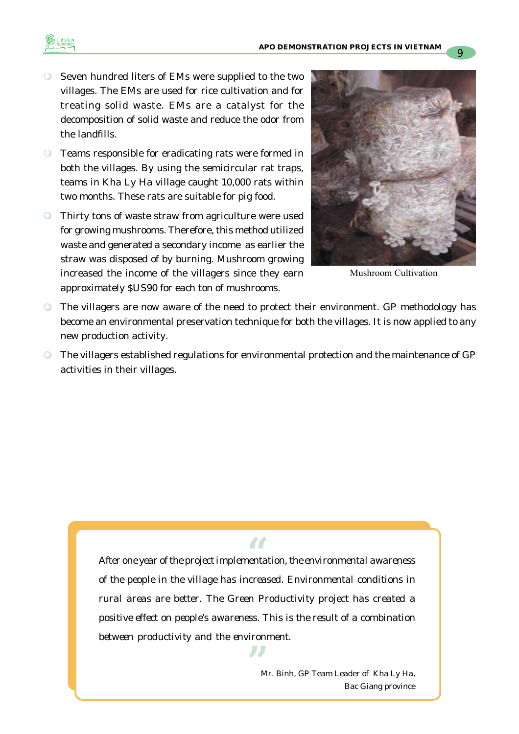- Seven hundred liters of EMs were supplied to the two villages. The EMs are used for rice cultivation and for treating solid waste. EMs are a catalyst for the decomposition of solid waste and reduce the odor from the landfills.
- Teams responsible for eradicating rats were formed in both the villages. By using the semicircular rat traps, teams in Kha Ly Ha village caught 10,000 rats within two months. These rats are suitable for pig food.
- Thirty tons of waste straw from agriculture were used for growing mushrooms. Therefore, this method utilized waste and generated a secondary income as earlier the straw was disposed of by burning. Mushroom growing increased the income of the villagers since they earn approximately \$US90 for each ton of mushrooms.



Mushroom Cultivation

- The villagers are now aware of the need to protect their environment. GP methodology has become an environmental preservation technique for both the villages. It is now applied to any new production activity.
- The villagers established regulations for environmental protection and the maintenance of GP activities in their villages.

*After one year of the project implementation, the environmental awareness of the people in the village has increased. Environmental conditions in rural areas are better. The Green Productivity project has created a positive effect on people's awareness. This is the result of a combination between productivity and the environment.* **66**<br>enta

> Mr. Binh, GP Team Leader of Kha Ly Ha, Bac Giang province **"**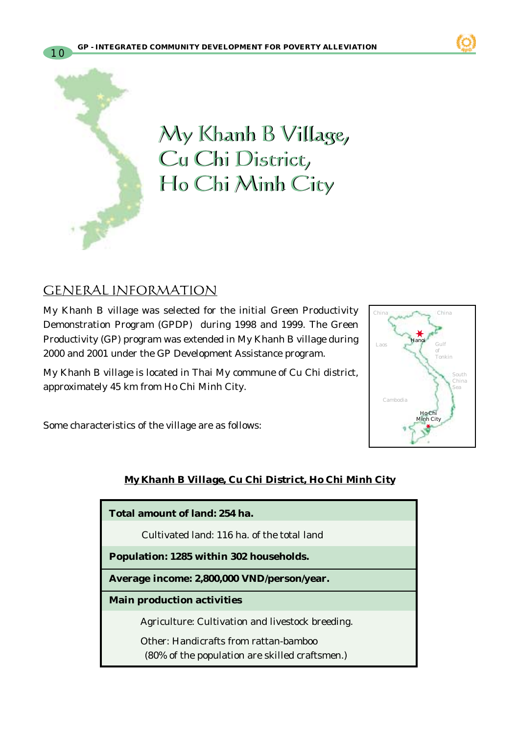

## GENERAL INFORMATION

My Khanh B village was selected for the initial Green Productivity Demonstration Program (GPDP) during 1998 and 1999. The Green Productivity (GP) program was extended in My Khanh B village during 2000 and 2001 under the GP Development Assistance program.

My Khanh B village is located in Thai My commune of Cu Chi district, approximately 45 km from Ho Chi Minh City.



Some characteristics of the village are as follows:

*My Khanh B Village, Cu Chi District, Ho Chi Minh City*

| Total amount of land: 254 ha.                                                           |
|-----------------------------------------------------------------------------------------|
| Cultivated land: 116 ha. of the total land                                              |
| Population: 1285 within 302 households.                                                 |
| Average income: 2,800,000 VND/person/year.                                              |
| Main production activities                                                              |
| Agriculture: Cultivation and livestock breeding.                                        |
| Other: Handicrafts from rattan-bamboo<br>(80% of the population are skilled craftsmen.) |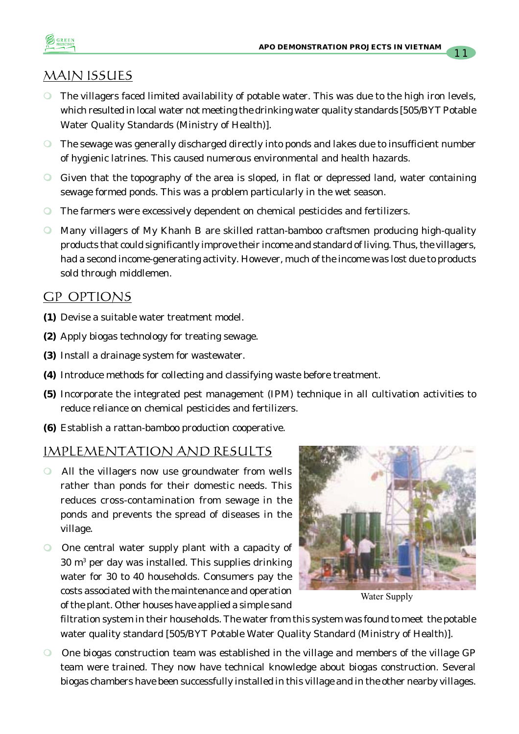

#### MAIN ISSUES

- The villagers faced limited availability of potable water. This was due to the high iron levels, which resulted in local water not meeting the drinking water quality standards [505/BYT Potable Water Quality Standards (Ministry of Health)].
- The sewage was generally discharged directly into ponds and lakes due to insufficient number of hygienic latrines. This caused numerous environmental and health hazards.
- Given that the topography of the area is sloped, in flat or depressed land, water containing sewage formed ponds. This was a problem particularly in the wet season.
- The farmers were excessively dependent on chemical pesticides and fertilizers.
- Many villagers of My Khanh B are skilled rattan-bamboo craftsmen producing high-quality products that could significantly improve their income and standard of living. Thus, the villagers, had a second income-generating activity. However, much of the income was lost due to products sold through middlemen.

#### GP OPTIONS

- **(1)** Devise a suitable water treatment model.
- **(2)** Apply biogas technology for treating sewage.
- **(3)** Install a drainage system for wastewater.
- **(4)** Introduce methods for collecting and classifying waste before treatment.
- **(5)** Incorporate the integrated pest management (IPM) technique in all cultivation activities to reduce reliance on chemical pesticides and fertilizers.
- **(6)** Establish a rattan-bamboo production cooperative.

#### IMPLEMENTATION AND RESULTS

- All the villagers now use groundwater from wells rather than ponds for their domestic needs. This reduces cross-contamination from sewage in the ponds and prevents the spread of diseases in the village.
- One central water supply plant with a capacity of 30 m3 per day was installed. This supplies drinking water for 30 to 40 households. Consumers pay the costs associated with the maintenance and operation of the plant. Other houses have applied a simple sand



Water Supply

filtration system in their households. The water from this system was found to meet the potable water quality standard [505/BYT Potable Water Quality Standard (Ministry of Health)].

 One biogas construction team was established in the village and members of the village GP team were trained. They now have technical knowledge about biogas construction. Several biogas chambers have been successfully installed in this village and in the other nearby villages.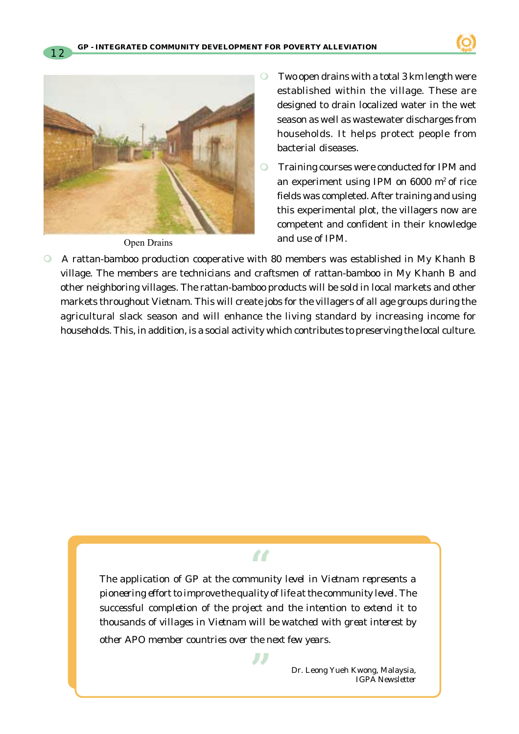



12

Open Drains

- $\bigcirc$  Two open drains with a total 3 km length were established within the village. These are designed to drain localized water in the wet season as well as wastewater discharges from households. It helps protect people from bacterial diseases.
- **O** Training courses were conducted for IPM and an experiment using IPM on  $6000 \text{ m}^2$  of rice fields was completed. After training and using this experimental plot, the villagers now are competent and confident in their knowledge and use of IPM.

 A rattan-bamboo production cooperative with 80 members was established in My Khanh B village. The members are technicians and craftsmen of rattan-bamboo in My Khanh B and other neighboring villages. The rattan-bamboo products will be sold in local markets and other markets throughout Vietnam. This will create jobs for the villagers of all age groups during the agricultural slack season and will enhance the living standard by increasing income for households. This, in addition, is a social activity which contributes to preserving the local culture.

## **"**

*The application of GP at the community level in Vietnam represents a pioneering effort to improve the quality of life at the community level. The successful completion of the project and the intention to extend it to thousands of villages in Vietnam will be watched with great interest by other APO member countries over the next few years.*



Dr. Leong Yueh Kwong, Malaysia,  *IGPA Newsletter*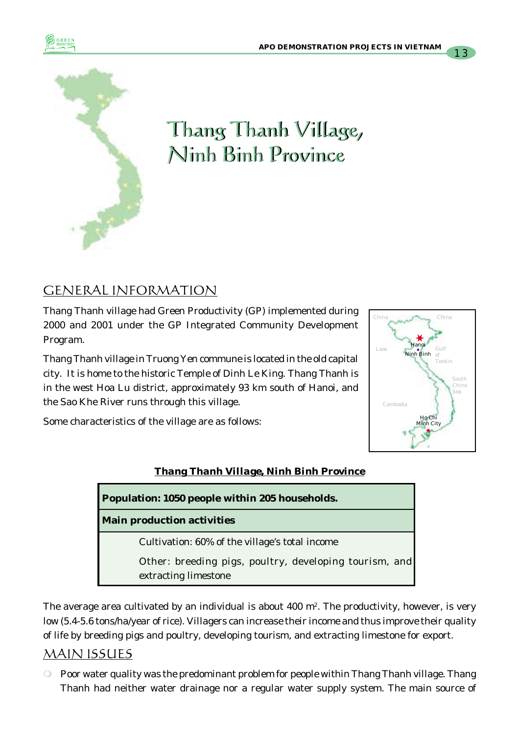



## Thang Thanh Village, Thang Thanh Village, Ninh Binh Province Ninh Binh Province

## GENERAL INFORMATION

Thang Thanh village had Green Productivity (GP) implemented during 2000 and 2001 under the GP Integrated Community Development Program.

Thang Thanh village in Truong Yen commune is located in the old capital city. It is home to the historic Temple of Dinh Le King. Thang Thanh is in the west Hoa Lu district, approximately 93 km south of Hanoi, and the Sao Khe River runs through this village.

Some characteristics of the village are as follows:



13

#### *Thang Thanh Village, Ninh Binh Province*

**Population: 1050 people within 205 households. Main production activities** Cultivation: 60% of the village's total income Other: breeding pigs, poultry, developing tourism, and extracting limestone

The average area cultivated by an individual is about  $400 \; \mathrm{m}^2$ . The productivity, however, is very low (5.4-5.6 tons/ha/year of rice). Villagers can increase their income and thus improve their quality of life by breeding pigs and poultry, developing tourism, and extracting limestone for export.

#### MAIN ISSUES

 Poor water quality was the predominant problem for people within Thang Thanh village. Thang Thanh had neither water drainage nor a regular water supply system. The main source of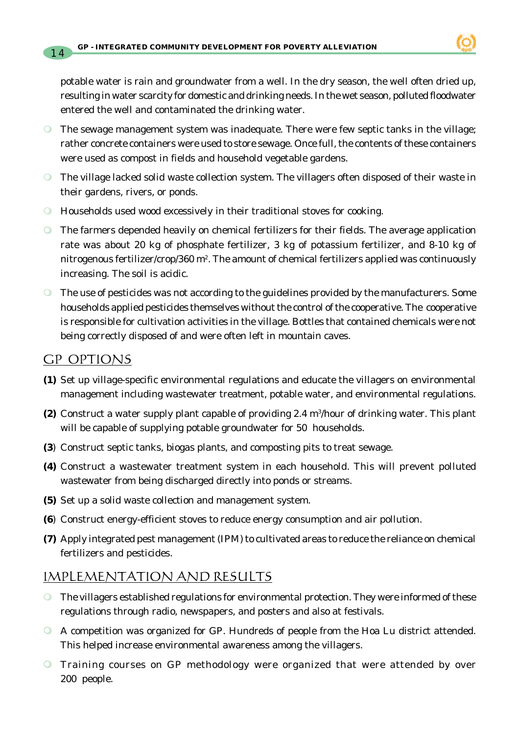potable water is rain and groundwater from a well. In the dry season, the well often dried up, resulting in water scarcity for domestic and drinking needs. In the wet season, polluted floodwater entered the well and contaminated the drinking water.

- The sewage management system was inadequate. There were few septic tanks in the village; rather concrete containers were used to store sewage. Once full, the contents of these containers were used as compost in fields and household vegetable gardens.
- The village lacked solid waste collection system. The villagers often disposed of their waste in their gardens, rivers, or ponds.
- Households used wood excessively in their traditional stoves for cooking.
- The farmers depended heavily on chemical fertilizers for their fields. The average application rate was about 20 kg of phosphate fertilizer, 3 kg of potassium fertilizer, and 8-10 kg of nitrogenous fertilizer/crop/360 m<sup>2</sup>. The amount of chemical fertilizers applied was continuously increasing. The soil is acidic.
- The use of pesticides was not according to the guidelines provided by the manufacturers. Some households applied pesticides themselves without the control of the cooperative. The cooperative is responsible for cultivation activities in the village. Bottles that contained chemicals were not being correctly disposed of and were often left in mountain caves.

#### GP OPTIONS

14

- **(1)** Set up village-specific environmental regulations and educate the villagers on environmental management including wastewater treatment, potable water, and environmental regulations.
- **(2)** Construct a water supply plant capable of providing 2.4 m3 /hour of drinking water. This plant will be capable of supplying potable groundwater for 50 households.
- **(3**) Construct septic tanks, biogas plants, and composting pits to treat sewage.
- **(4)** Construct a wastewater treatment system in each household. This will prevent polluted wastewater from being discharged directly into ponds or streams.
- **(5)** Set up a solid waste collection and management system.
- **(6**) Construct energy-efficient stoves to reduce energy consumption and air pollution.
- **(7)** Apply integrated pest management (IPM) to cultivated areas to reduce the reliance on chemical fertilizers and pesticides.

## IMPLEMENTATION AND RESULTS

- **O** The villagers established regulations for environmental protection. They were informed of these regulations through radio, newspapers, and posters and also at festivals.
- A competition was organized for GP. Hundreds of people from the Hoa Lu district attended. This helped increase environmental awareness among the villagers.
- Training courses on GP methodology were organized that were attended by over 200 people.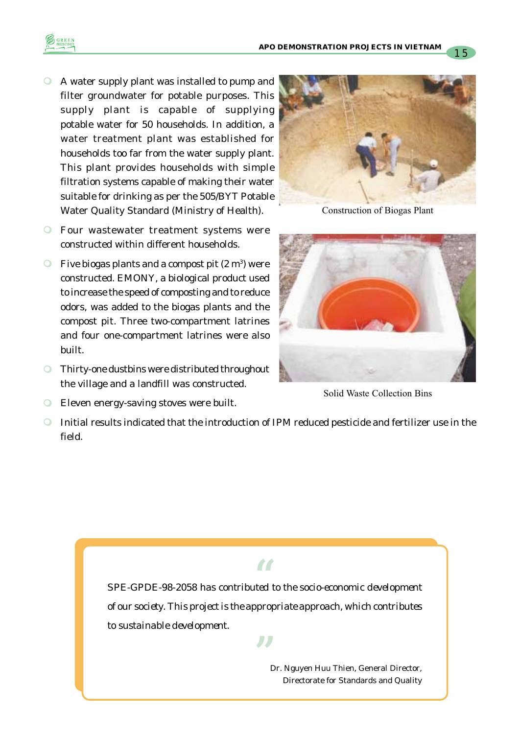

- A water supply plant was installed to pump and filter groundwater for potable purposes. This supply plant is capable of supplying potable water for 50 households. In addition, a water treatment plant was established for households too far from the water supply plant. This plant provides households with simple filtration systems capable of making their water suitable for drinking as per the 505/BYT Potable Water Quality Standard (Ministry of Health).
- Four wastewater treatment systems were constructed within different households.
- $\bigcirc$  Five biogas plants and a compost pit  $(2 \text{ m}^3)$  were constructed. EMONY, a biological product used to increase the speed of composting and to reduce odors, was added to the biogas plants and the compost pit. Three two-compartment latrines and four one-compartment latrines were also built.
- **O** Thirty-one dustbins were distributed throughout the village and a landfill was constructed.
- **Eleven energy-saving stoves were built.**



Construction of Biogas Plant



Solid Waste Collection Bins

 Initial results indicated that the introduction of IPM reduced pesticide and fertilizer use in the field.

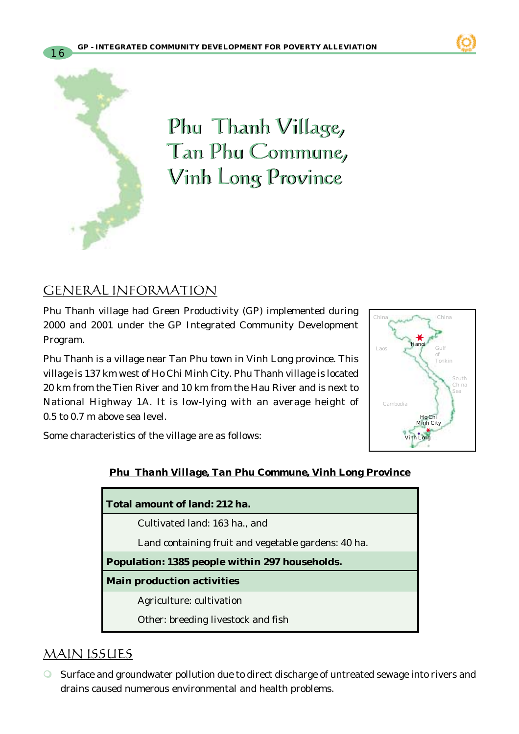

Phu Thanh Village, Phu Thanh Village, Tan Phu Commune, Tan Phu Commune, Vinh Long Province Vinh Long Province

## GENERAL INFORMATION

Phu Thanh village had Green Productivity (GP) implemented during 2000 and 2001 under the GP Integrated Community Development Program.

Phu Thanh is a village near Tan Phu town in Vinh Long province. This village is 137 km west of Ho Chi Minh City. Phu Thanh village is located 20 km from the Tien River and 10 km from the Hau River and is next to National Highway 1A. It is low-lying with an average height of 0.5 to 0.7 m above sea level.



Some characteristics of the village are as follows:

| Total amount of land: 212 ha.                       |
|-----------------------------------------------------|
| Cultivated land: 163 ha., and                       |
| Land containing fruit and vegetable gardens: 40 ha. |
| Population: 1385 people within 297 households.      |
| Main production activities                          |
| Agriculture: cultivation                            |
| Other: breeding livestock and fish                  |

## *Phu Thanh Village, Tan Phu Commune, Vinh Long Province*

## MAIN ISSUES

 Surface and groundwater pollution due to direct discharge of untreated sewage into rivers and drains caused numerous environmental and health problems.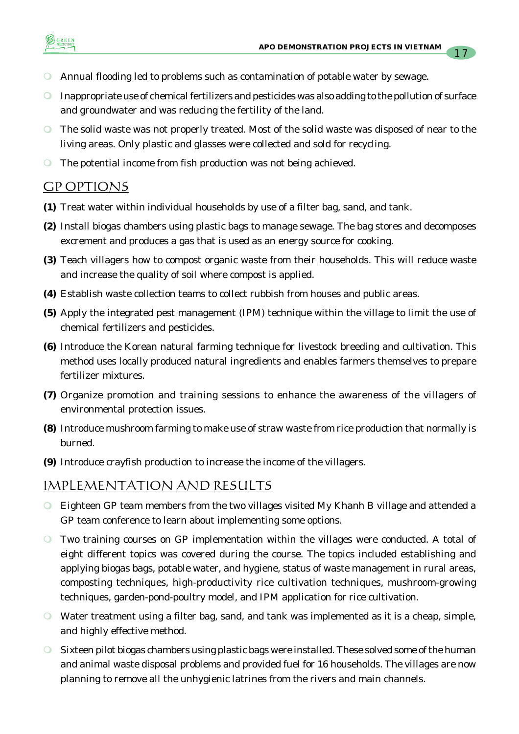17



- Annual flooding led to problems such as contamination of potable water by sewage.
- Inappropriate use of chemical fertilizers and pesticides was also adding to the pollution of surface and groundwater and was reducing the fertility of the land.
- The solid waste was not properly treated. Most of the solid waste was disposed of near to the living areas. Only plastic and glasses were collected and sold for recycling.
- The potential income from fish production was not being achieved.

## GP OPTIONS

- **(1)** Treat water within individual households by use of a filter bag, sand, and tank.
- **(2)** Install biogas chambers using plastic bags to manage sewage. The bag stores and decomposes excrement and produces a gas that is used as an energy source for cooking.
- **(3)** Teach villagers how to compost organic waste from their households. This will reduce waste and increase the quality of soil where compost is applied.
- **(4)** Establish waste collection teams to collect rubbish from houses and public areas.
- **(5)** Apply the integrated pest management (IPM) technique within the village to limit the use of chemical fertilizers and pesticides.
- **(6)** Introduce the Korean natural farming technique for livestock breeding and cultivation. This method uses locally produced natural ingredients and enables farmers themselves to prepare fertilizer mixtures.
- **(7)** Organize promotion and training sessions to enhance the awareness of the villagers of environmental protection issues.
- **(8)** Introduce mushroom farming to make use of straw waste from rice production that normally is burned.
- **(9)** Introduce crayfish production to increase the income of the villagers.

## IMPLEMENTATION AND RESULTS

- Eighteen GP team members from the two villages visited My Khanh B village and attended a GP team conference to learn about implementing some options.
- Two training courses on GP implementation within the villages were conducted. A total of eight different topics was covered during the course. The topics included establishing and applying biogas bags, potable water, and hygiene, status of waste management in rural areas, composting techniques, high-productivity rice cultivation techniques, mushroom-growing techniques, garden-pond-poultry model, and IPM application for rice cultivation.
- Water treatment using a filter bag, sand, and tank was implemented as it is a cheap, simple, and highly effective method.
- Sixteen pilot biogas chambers using plastic bags were installed. These solved some of the human and animal waste disposal problems and provided fuel for 16 households. The villages are now planning to remove all the unhygienic latrines from the rivers and main channels.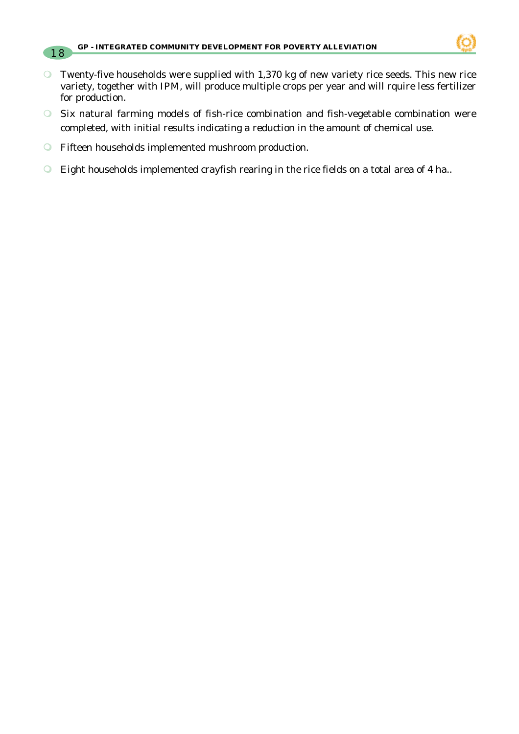

- Twenty-five households were supplied with 1,370 kg of new variety rice seeds. This new rice variety, together with IPM, will produce multiple crops per year and will rquire less fertilizer for production.
- Six natural farming models of fish-rice combination and fish-vegetable combination were completed, with initial results indicating a reduction in the amount of chemical use.
- Fifteen households implemented mushroom production.
- Eight households implemented crayfish rearing in the rice fields on a total area of 4 ha..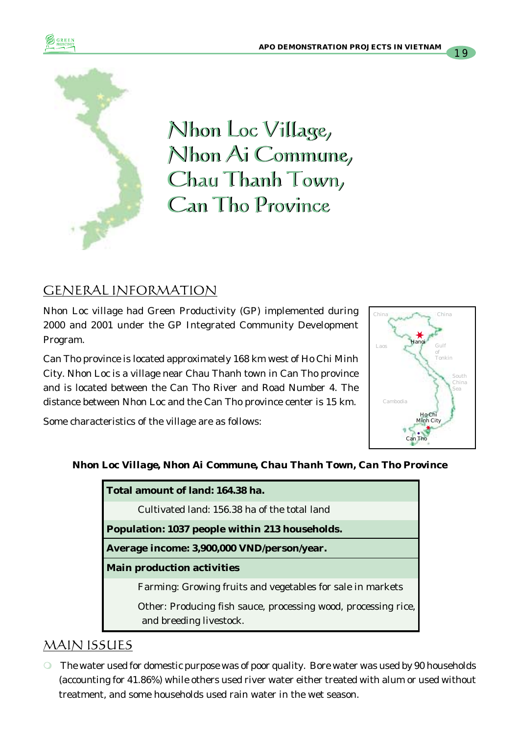



Nhon Loc Village, Nhon Loc Village, Nhon Ai Commune, Nhon Ai Commune, Chau Thanh Town, Chau Thanh Town, Can Tho Province Can Tho Province

## GENERAL INFORMATION

Nhon Loc village had Green Productivity (GP) implemented during 2000 and 2001 under the GP Integrated Community Development Program.

Can Tho province is located approximately 168 km west of Ho Chi Minh City. Nhon Loc is a village near Chau Thanh town in Can Tho province and is located between the Can Tho River and Road Number 4. The distance between Nhon Loc and the Can Tho province center is 15 km.

Some characteristics of the village are as follows:



19

*Nhon Loc Village, Nhon Ai Commune, Chau Thanh Town, Can Tho Province*

| Total amount of land: 164.38 ha.                                                          |
|-------------------------------------------------------------------------------------------|
| Cultivated land: 156.38 ha of the total land                                              |
| Population: 1037 people within 213 households.                                            |
| Average income: 3,900,000 VND/person/year.                                                |
| Main production activities                                                                |
| Farming: Growing fruits and vegetables for sale in markets                                |
| Other: Producing fish sauce, processing wood, processing rice,<br>and breeding livestock. |

## MAIN ISSUES

 The water used for domestic purpose was of poor quality. Bore water was used by 90 households (accounting for 41.86%) while others used river water either treated with alum or used without treatment, and some households used rain water in the wet season.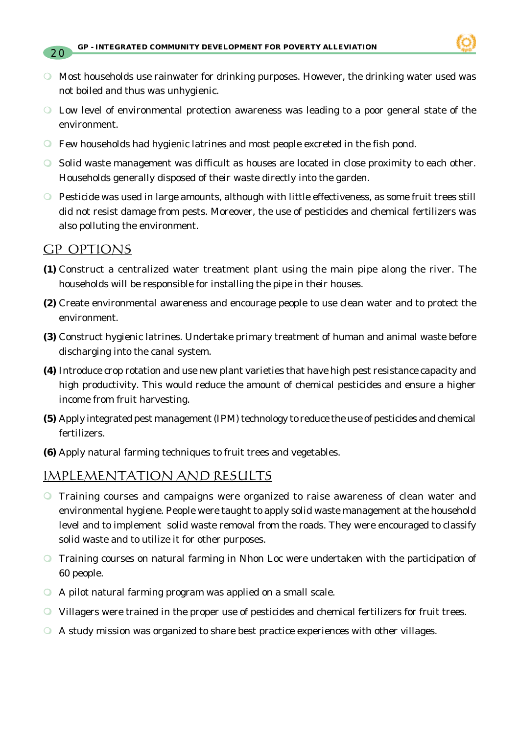



- Most households use rainwater for drinking purposes. However, the drinking water used was not boiled and thus was unhygienic.
- Low level of environmental protection awareness was leading to a poor general state of the environment.
- Few households had hygienic latrines and most people excreted in the fish pond.
- Solid waste management was difficult as houses are located in close proximity to each other. Households generally disposed of their waste directly into the garden.
- Pesticide was used in large amounts, although with little effectiveness, as some fruit trees still did not resist damage from pests. Moreover, the use of pesticides and chemical fertilizers was also polluting the environment.

#### GP OPTIONS

- **(1)** Construct a centralized water treatment plant using the main pipe along the river. The households will be responsible for installing the pipe in their houses.
- **(2)** Create environmental awareness and encourage people to use clean water and to protect the environment.
- **(3)** Construct hygienic latrines. Undertake primary treatment of human and animal waste before discharging into the canal system.
- **(4)** Introduce crop rotation and use new plant varieties that have high pest resistance capacity and high productivity. This would reduce the amount of chemical pesticides and ensure a higher income from fruit harvesting.
- **(5)** Apply integrated pest management (IPM) technology to reduce the use of pesticides and chemical fertilizers.
- **(6)** Apply natural farming techniques to fruit trees and vegetables.

## IMPLEMENTATION AND RESULTS

- Training courses and campaigns were organized to raise awareness of clean water and environmental hygiene. People were taught to apply solid waste management at the household level and to implement solid waste removal from the roads. They were encouraged to classify solid waste and to utilize it for other purposes.
- Training courses on natural farming in Nhon Loc were undertaken with the participation of 60 people.
- A pilot natural farming program was applied on a small scale.
- Villagers were trained in the proper use of pesticides and chemical fertilizers for fruit trees.
- A study mission was organized to share best practice experiences with other villages.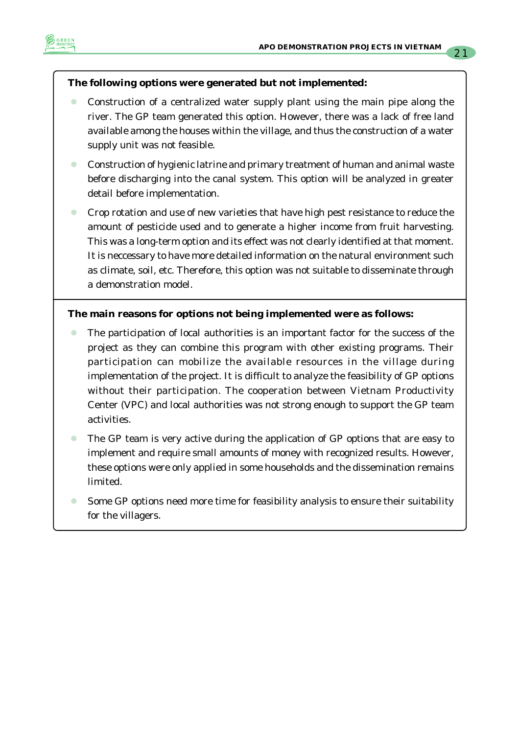

**The following options were generated but not implemented:**

- Construction of a centralized water supply plant using the main pipe along the river. The GP team generated this option. However, there was a lack of free land available among the houses within the village, and thus the construction of a water supply unit was not feasible.
- **Construction of hygienic latrine and primary treatment of human and animal waste** before discharging into the canal system. This option will be analyzed in greater detail before implementation.
- Crop rotation and use of new varieties that have high pest resistance to reduce the amount of pesticide used and to generate a higher income from fruit harvesting. This was a long-term option and its effect was not clearly identified at that moment. It is neccessary to have more detailed information on the natural environment such as climate, soil, etc. Therefore, this option was not suitable to disseminate through a demonstration model.

**The main reasons for options not being implemented were as follows:**

- The participation of local authorities is an important factor for the success of the project as they can combine this program with other existing programs. Their participation can mobilize the available resources in the village during implementation of the project. It is difficult to analyze the feasibility of GP options without their participation. The cooperation between Vietnam Productivity Center (VPC) and local authorities was not strong enough to support the GP team activities.
- The GP team is very active during the application of GP options that are easy to implement and require small amounts of money with recognized results. However, these options were only applied in some households and the dissemination remains limited.
- Some GP options need more time for feasibility analysis to ensure their suitability for the villagers.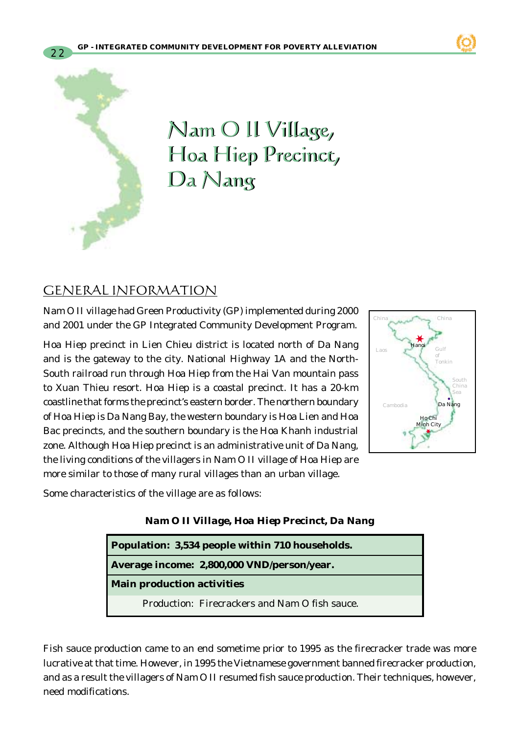

China China

 $C_{11}$ 16 of Tonkin

Hanoi

Laos

Cambodia

Da Nang

South China Sea

Ho Chi Minh City



22

## Nam O II Village, Nam O II Village, Hoa Hiep Precinct, Hoa Hiep Precinct, Da Nang Da Nang

## GENERAL INFORMATION

Nam O II village had Green Productivity (GP) implemented during 2000 and 2001 under the GP Integrated Community Development Program.

Hoa Hiep precinct in Lien Chieu district is located north of Da Nang and is the gateway to the city. National Highway 1A and the North-South railroad run through Hoa Hiep from the Hai Van mountain pass to Xuan Thieu resort. Hoa Hiep is a coastal precinct. It has a 20-km coastline that forms the precinct's eastern border. The northern boundary of Hoa Hiep is Da Nang Bay, the western boundary is Hoa Lien and Hoa Bac precincts, and the southern boundary is the Hoa Khanh industrial zone. Although Hoa Hiep precinct is an administrative unit of Da Nang, the living conditions of the villagers in Nam O II village of Hoa Hiep are more similar to those of many rural villages than an urban village.

Some characteristics of the village are as follows:

*Nam O II Village, Hoa Hiep Precinct, Da Nang*

| Population: 3,534 people within 710 households. |  |  |  |  |
|-------------------------------------------------|--|--|--|--|
| Average income: 2,800,000 VND/person/year.      |  |  |  |  |
| Main production activities                      |  |  |  |  |
| Production: Firecrackers and Nam O fish sauce.  |  |  |  |  |

Fish sauce production came to an end sometime prior to 1995 as the firecracker trade was more lucrative at that time. However, in 1995 the Vietnamese government banned firecracker production, and as a result the villagers of Nam O II resumed fish sauce production. Their techniques, however, need modifications.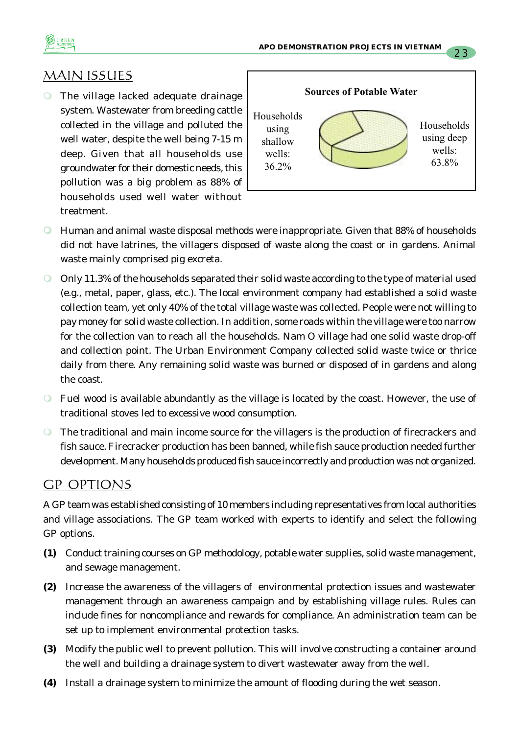

## MAIN ISSUES

**O** The village lacked adequate drainage system. Wastewater from breeding cattle collected in the village and polluted the well water, despite the well being 7-15 m deep. Given that all households use groundwater for their domestic needs, this pollution was a big problem as 88% of households used well water without treatment.



- Human and animal waste disposal methods were inappropriate. Given that 88% of households did not have latrines, the villagers disposed of waste along the coast or in gardens. Animal waste mainly comprised pig excreta.
- Only 11.3% of the households separated their solid waste according to the type of material used (e.g., metal, paper, glass, etc.). The local environment company had established a solid waste collection team, yet only 40% of the total village waste was collected. People were not willing to pay money for solid waste collection. In addition, some roads within the village were too narrow for the collection van to reach all the households. Nam O village had one solid waste drop-off and collection point. The Urban Environment Company collected solid waste twice or thrice daily from there. Any remaining solid waste was burned or disposed of in gardens and along the coast.
- Fuel wood is available abundantly as the village is located by the coast. However, the use of traditional stoves led to excessive wood consumption.
- The traditional and main income source for the villagers is the production of firecrackers and fish sauce. Firecracker production has been banned, while fish sauce production needed further development. Many households produced fish sauce incorrectly and production was not organized.

## GP OPTIONS

A GP team was established consisting of 10 members including representatives from local authorities and village associations. The GP team worked with experts to identify and select the following GP options.

- **(1)** Conduct training courses on GP methodology, potable water supplies, solid waste management, and sewage management.
- **(2)** Increase the awareness of the villagers of environmental protection issues and wastewater management through an awareness campaign and by establishing village rules. Rules can include fines for noncompliance and rewards for compliance. An administration team can be set up to implement environmental protection tasks.
- **(3)** Modify the public well to prevent pollution. This will involve constructing a container around the well and building a drainage system to divert wastewater away from the well.
- **(4)** Install a drainage system to minimize the amount of flooding during the wet season.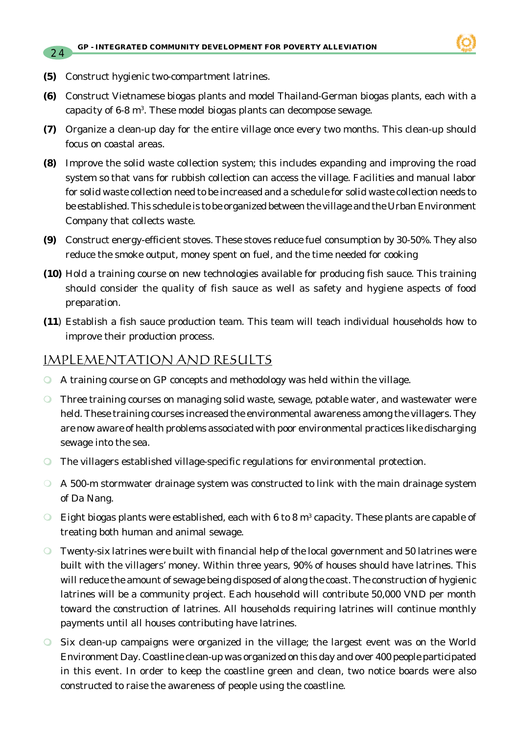

**(5)** Construct hygienic two-compartment latrines.

 $24$ 

- **(6)** Construct Vietnamese biogas plants and model Thailand-German biogas plants, each with a capacity of  $6-8$  m<sup>3</sup>. These model biogas plants can decompose sewage.
- **(7)** Organize a clean-up day for the entire village once every two months. This clean-up should focus on coastal areas.
- **(8)** Improve the solid waste collection system; this includes expanding and improving the road system so that vans for rubbish collection can access the village. Facilities and manual labor for solid waste collection need to be increased and a schedule for solid waste collection needs to be established. This schedule is to be organized between the village and the Urban Environment Company that collects waste.
- **(9)** Construct energy-efficient stoves. These stoves reduce fuel consumption by 30-50%. They also reduce the smoke output, money spent on fuel, and the time needed for cooking
- **(10)** Hold a training course on new technologies available for producing fish sauce. This training should consider the quality of fish sauce as well as safety and hygiene aspects of food preparation.
- **(11**) Establish a fish sauce production team. This team will teach individual households how to improve their production process.

#### IMPLEMENTATION AND RESULTS

- A training course on GP concepts and methodology was held within the village.
- Three training courses on managing solid waste, sewage, potable water, and wastewater were held. These training courses increased the environmental awareness among the villagers. They are now aware of health problems associated with poor environmental practices like discharging sewage into the sea.
- The villagers established village-specific regulations for environmental protection.
- A 500-m stormwater drainage system was constructed to link with the main drainage system of Da Nang.
- $\bigcirc$  Eight biogas plants were established, each with 6 to 8 m<sup>3</sup> capacity. These plants are capable of treating both human and animal sewage.
- Twenty-six latrines were built with financial help of the local government and 50 latrines were built with the villagers' money. Within three years, 90% of houses should have latrines. This will reduce the amount of sewage being disposed of along the coast. The construction of hygienic latrines will be a community project. Each household will contribute 50,000 VND per month toward the construction of latrines. All households requiring latrines will continue monthly payments until all houses contributing have latrines.
- Six clean-up campaigns were organized in the village; the largest event was on the World Environment Day. Coastline clean-up was organized on this day and over 400 people participated in this event. In order to keep the coastline green and clean, two notice boards were also constructed to raise the awareness of people using the coastline.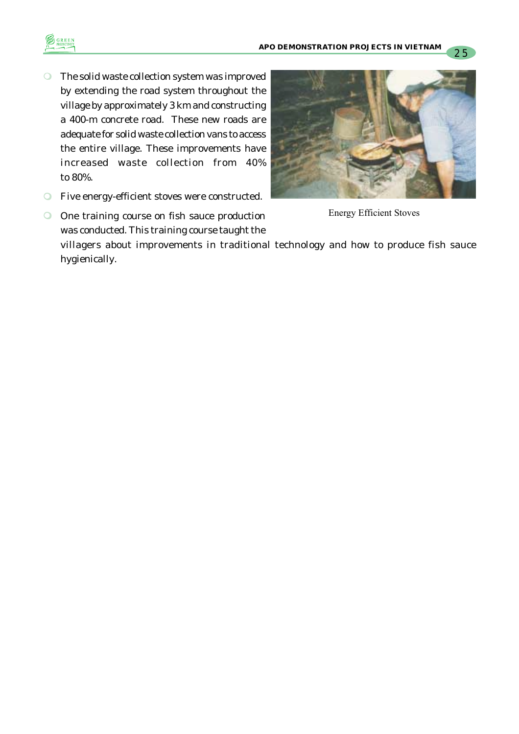

- **O** The solid waste collection system was improved by extending the road system throughout the village by approximately 3 km and constructing a 400-m concrete road. These new roads are adequate for solid waste collection vans to access the entire village. These improvements have increased waste collection from 40% to 80%.
- Five energy-efficient stoves were constructed.
- O One training course on fish sauce production was conducted. This training course taught the



Energy Efficient Stoves

villagers about improvements in traditional technology and how to produce fish sauce hygienically.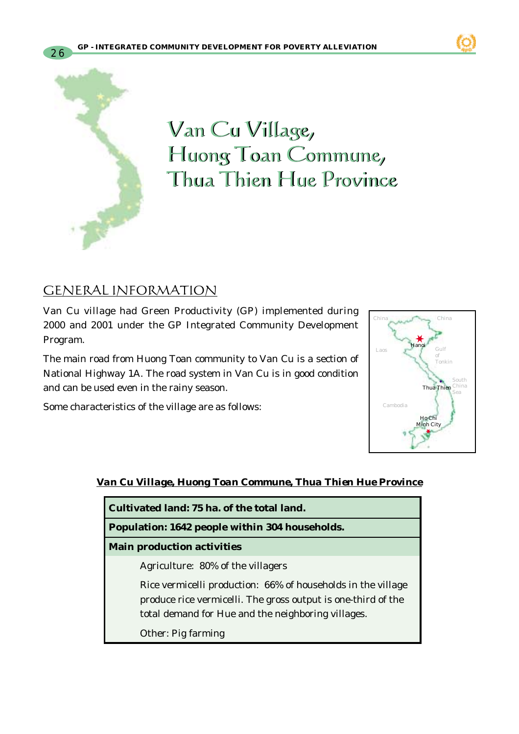

## Van Cu Village, Van Cu Village, Huong Toan Commune, Huong Toan Commune, Thua Thien Hue Province Thua Thien Hue Province

## GENERAL INFORMATION

Van Cu village had Green Productivity (GP) implemented during 2000 and 2001 under the GP Integrated Community Development Program.

The main road from Huong Toan community to Van Cu is a section of National Highway 1A. The road system in Van Cu is in good condition and can be used even in the rainy season.

Some characteristics of the village are as follows:



#### *Van Cu Village, Huong Toan Commune, Thua Thien Hue Province*

| Cultivated land: 75 ha. of the total land.                                                                                                                                          |
|-------------------------------------------------------------------------------------------------------------------------------------------------------------------------------------|
| Population: 1642 people within 304 households.                                                                                                                                      |
| Main production activities                                                                                                                                                          |
| Agriculture: 80% of the villagers                                                                                                                                                   |
| Rice vermicelli production: 66% of households in the village<br>produce rice vermicelli. The gross output is one-third of the<br>total demand for Hue and the neighboring villages. |
| Other: Pig farming                                                                                                                                                                  |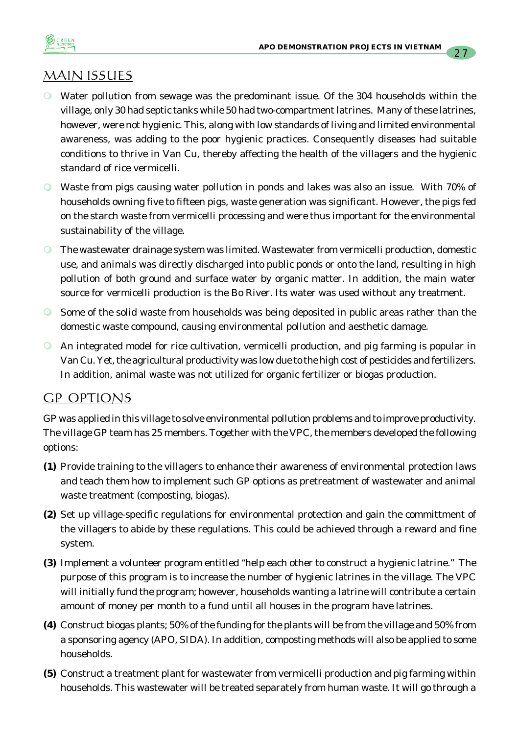

### MAIN ISSUES

- Water pollution from sewage was the predominant issue. Of the 304 households within the village, only 30 had septic tanks while 50 had two-compartment latrines. Many of these latrines, however, were not hygienic. This, along with low standards of living and limited environmental awareness, was adding to the poor hygienic practices. Consequently diseases had suitable conditions to thrive in Van Cu, thereby affecting the health of the villagers and the hygienic standard of rice vermicelli.
- Waste from pigs causing water pollution in ponds and lakes was also an issue. With 70% of households owning five to fifteen pigs, waste generation was significant. However, the pigs fed on the starch waste from vermicelli processing and were thus important for the environmental sustainability of the village.
- The wastewater drainage system was limited. Wastewater from vermicelli production, domestic use, and animals was directly discharged into public ponds or onto the land, resulting in high pollution of both ground and surface water by organic matter. In addition, the main water source for vermicelli production is the Bo River. Its water was used without any treatment.
- Some of the solid waste from households was being deposited in public areas rather than the domestic waste compound, causing environmental pollution and aesthetic damage.
- An integrated model for rice cultivation, vermicelli production, and pig farming is popular in Van Cu. Yet, the agricultural productivity was low due to the high cost of pesticides and fertilizers. In addition, animal waste was not utilized for organic fertilizer or biogas production.

#### GP OPTIONS

GP was applied in this village to solve environmental pollution problems and to improve productivity. The village GP team has 25 members. Together with the VPC, the members developed the following options:

- **(1)** Provide training to the villagers to enhance their awareness of environmental protection laws and teach them how to implement such GP options as pretreatment of wastewater and animal waste treatment (composting, biogas).
- **(2)** Set up village-specific regulations for environmental protection and gain the committment of the villagers to abide by these regulations. This could be achieved through a reward and fine system.
- **(3)** Implement a volunteer program entitled "help each other to construct a hygienic latrine." The purpose of this program is to increase the number of hygienic latrines in the village. The VPC will initially fund the program; however, households wanting a latrine will contribute a certain amount of money per month to a fund until all houses in the program have latrines.
- **(4)** Construct biogas plants; 50% of the funding for the plants will be from the village and 50% from a sponsoring agency (APO, SIDA). In addition, composting methods will also be applied to some households.
- **(5)** Construct a treatment plant for wastewater from vermicelli production and pig farming within households. This wastewater will be treated separately from human waste. It will go through a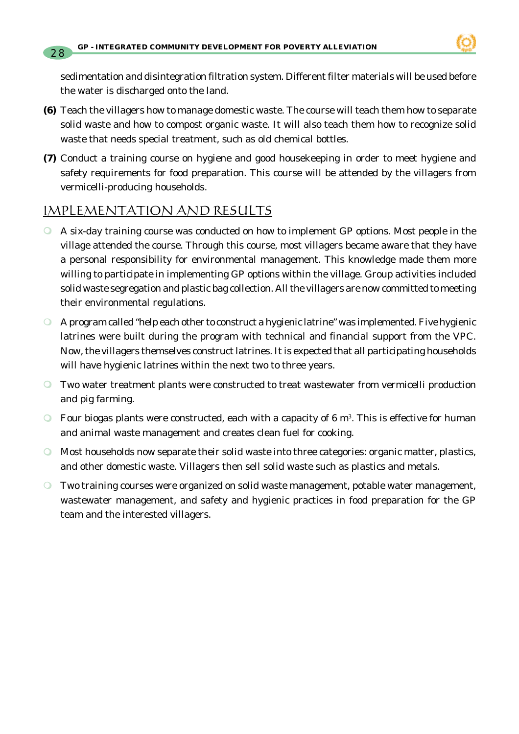sedimentation and disintegration filtration system. Different filter materials will be used before the water is discharged onto the land.

- **(6)** Teach the villagers how to manage domestic waste. The course will teach them how to separate solid waste and how to compost organic waste. It will also teach them how to recognize solid waste that needs special treatment, such as old chemical bottles.
- **(7)** Conduct a training course on hygiene and good housekeeping in order to meet hygiene and safety requirements for food preparation. This course will be attended by the villagers from vermicelli-producing households.

## IMPLEMENTATION AND RESULTS

- A six-day training course was conducted on how to implement GP options. Most people in the village attended the course. Through this course, most villagers became aware that they have a personal responsibility for environmental management. This knowledge made them more willing to participate in implementing GP options within the village. Group activities included solid waste segregation and plastic bag collection. All the villagers are now committed to meeting their environmental regulations.
- A program called "help each other to construct a hygienic latrine" was implemented. Five hygienic latrines were built during the program with technical and financial support from the VPC. Now, the villagers themselves construct latrines. It is expected that all participating households will have hygienic latrines within the next two to three years.
- Two water treatment plants were constructed to treat wastewater from vermicelli production and pig farming.
- $\bullet$  Four biogas plants were constructed, each with a capacity of 6 m<sup>3</sup>. This is effective for human and animal waste management and creates clean fuel for cooking.
- O Most households now separate their solid waste into three categories: organic matter, plastics, and other domestic waste. Villagers then sell solid waste such as plastics and metals.
- Two training courses were organized on solid waste management, potable water management, wastewater management, and safety and hygienic practices in food preparation for the GP team and the interested villagers.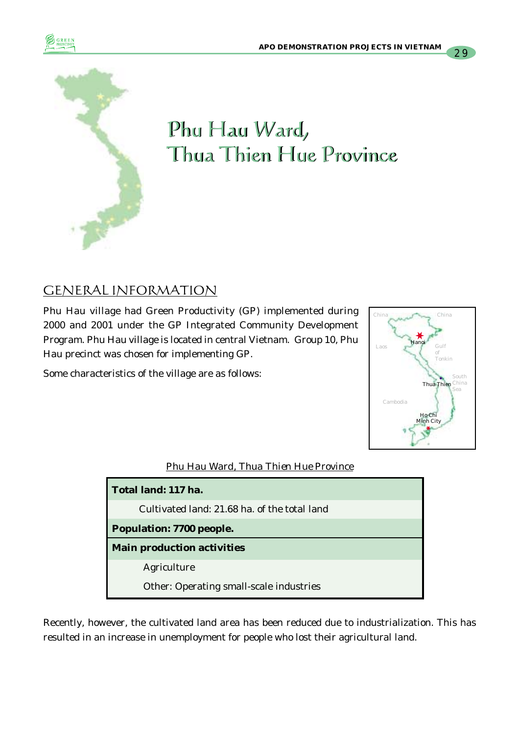



## Phu Hau Ward, Phu Hau Ward, Thua Thien Hue Province Thua Thien Hue Province

## GENERAL INFORMATION

Phu Hau village had Green Productivity (GP) implemented during 2000 and 2001 under the GP Integrated Community Development Program. Phu Hau village is located in central Vietnam. Group 10, Phu Hau precinct was chosen for implementing GP.

Some characteristics of the village are as follows:



29

| гни паи waru, тниа тніен пие гтоушсе         |
|----------------------------------------------|
| Total land: 117 ha.                          |
| Cultivated land: 21.68 ha. of the total land |
| Population: 7700 people.                     |
| Main production activities                   |
| Agriculture                                  |
| Other: Operating small-scale industries      |

*Phu Hau Ward, Thua Thien Hue Province*

Recently, however, the cultivated land area has been reduced due to industrialization. This has resulted in an increase in unemployment for people who lost their agricultural land.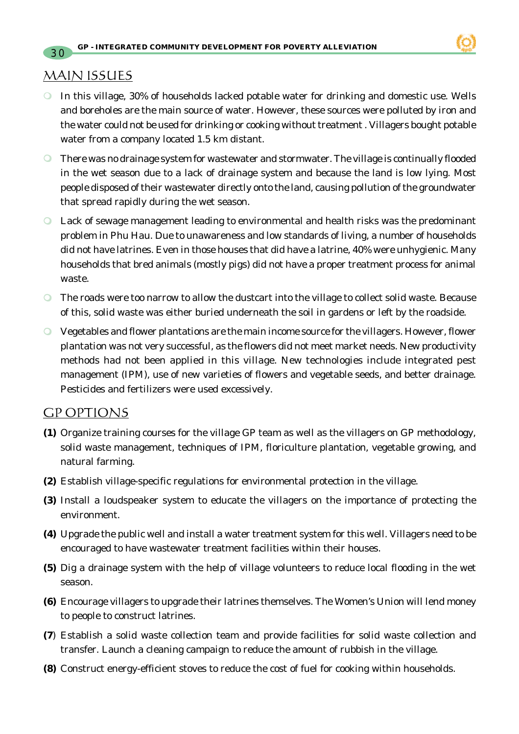

## MAIN ISSUES

30

- In this village, 30% of households lacked potable water for drinking and domestic use. Wells and boreholes are the main source of water. However, these sources were polluted by iron and the water could not be used for drinking or cooking without treatment . Villagers bought potable water from a company located 1.5 km distant.
- There was no drainage system for wastewater and stormwater. The village is continually flooded in the wet season due to a lack of drainage system and because the land is low lying. Most people disposed of their wastewater directly onto the land, causing pollution of the groundwater that spread rapidly during the wet season.
- Lack of sewage management leading to environmental and health risks was the predominant problem in Phu Hau. Due to unawareness and low standards of living, a number of households did not have latrines. Even in those houses that did have a latrine, 40% were unhygienic. Many households that bred animals (mostly pigs) did not have a proper treatment process for animal waste.
- **The roads were too narrow to allow the dustcart into the village to collect solid waste. Because** of this, solid waste was either buried underneath the soil in gardens or left by the roadside.
- Vegetables and flower plantations are the main income source for the villagers. However, flower plantation was not very successful, as the flowers did not meet market needs. New productivity methods had not been applied in this village. New technologies include integrated pest management (IPM), use of new varieties of flowers and vegetable seeds, and better drainage. Pesticides and fertilizers were used excessively.

#### GP OPTIONS

- **(1)** Organize training courses for the village GP team as well as the villagers on GP methodology, solid waste management, techniques of IPM, floriculture plantation, vegetable growing, and natural farming.
- **(2)** Establish village-specific regulations for environmental protection in the village.
- **(3)** Install a loudspeaker system to educate the villagers on the importance of protecting the environment.
- **(4)** Upgrade the public well and install a water treatment system for this well. Villagers need to be encouraged to have wastewater treatment facilities within their houses.
- **(5)** Dig a drainage system with the help of village volunteers to reduce local flooding in the wet season.
- **(6)** Encourage villagers to upgrade their latrines themselves. The Women's Union will lend money to people to construct latrines.
- **(7**) Establish a solid waste collection team and provide facilities for solid waste collection and transfer. Launch a cleaning campaign to reduce the amount of rubbish in the village.
- **(8)** Construct energy-efficient stoves to reduce the cost of fuel for cooking within households.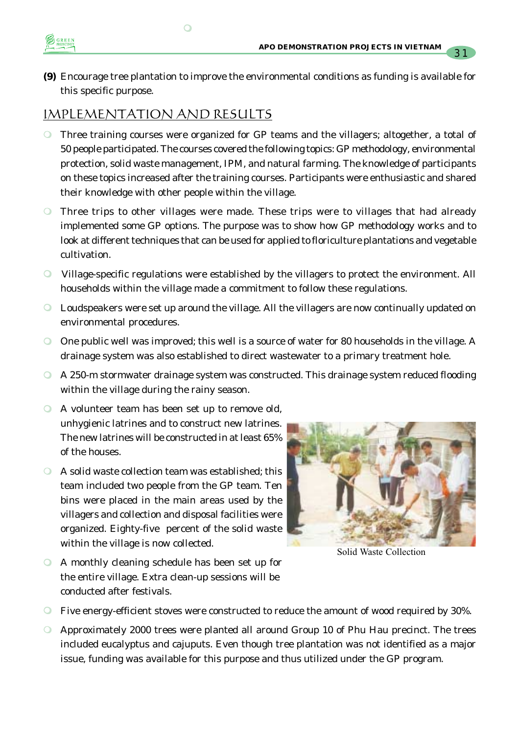31



**(9)** Encourage tree plantation to improve the environmental conditions as funding is available for this specific purpose.

## IMPLEMENTATION AND RESULTS

- Three training courses were organized for GP teams and the villagers; altogether, a total of 50 people participated. The courses covered the following topics: GP methodology, environmental protection, solid waste management, IPM, and natural farming. The knowledge of participants on these topics increased after the training courses. Participants were enthusiastic and shared their knowledge with other people within the village.
- Three trips to other villages were made. These trips were to villages that had already implemented some GP options. The purpose was to show how GP methodology works and to look at different techniques that can be used for applied to floriculture plantations and vegetable cultivation.
- **The Village-specific regulations were established by the villagers to protect the environment. All** households within the village made a commitment to follow these regulations.
- Loudspeakers were set up around the village. All the villagers are now continually updated on environmental procedures.
- One public well was improved; this well is a source of water for 80 households in the village. A drainage system was also established to direct wastewater to a primary treatment hole.
- A 250-m stormwater drainage system was constructed. This drainage system reduced flooding within the village during the rainy season.
- A volunteer team has been set up to remove old, unhygienic latrines and to construct new latrines. The new latrines will be constructed in at least 65% of the houses.
- A solid waste collection team was established; this team included two people from the GP team. Ten bins were placed in the main areas used by the villagers and collection and disposal facilities were organized. Eighty-five percent of the solid waste within the village is now collected.



Solid Waste Collection

- A monthly cleaning schedule has been set up for the entire village. Extra clean-up sessions will be conducted after festivals.
- Five energy-efficient stoves were constructed to reduce the amount of wood required by 30%.
- Approximately 2000 trees were planted all around Group 10 of Phu Hau precinct. The trees included eucalyptus and cajuputs. Even though tree plantation was not identified as a major issue, funding was available for this purpose and thus utilized under the GP program.

 $\overline{O}$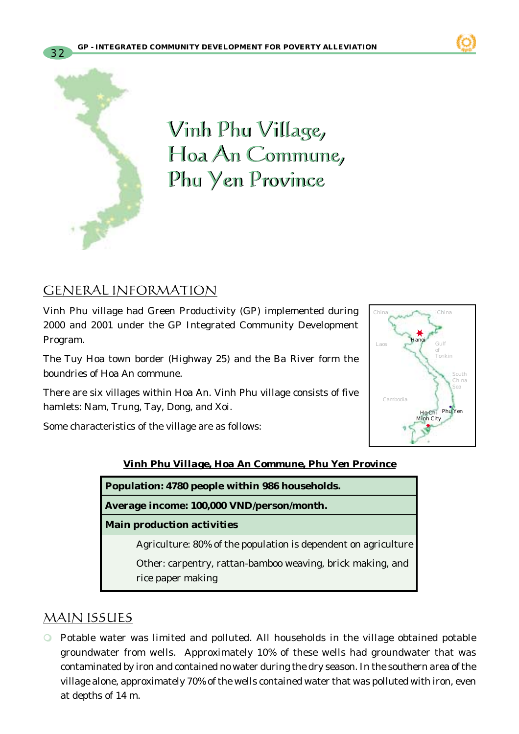

Vinh Phu Village, Vinh Phu Village, Hoa An Commune, Hoa An Commune, Phu Yen Province Phu Yen Province

## GENERAL INFORMATION

Vinh Phu village had Green Productivity (GP) implemented during 2000 and 2001 under the GP Integrated Community Development Program.

The Tuy Hoa town border (Highway 25) and the Ba River form the boundries of Hoa An commune.

There are six villages within Hoa An. Vinh Phu village consists of five hamlets: Nam, Trung, Tay, Dong, and Xoi.

Some characteristics of the village are as follows:





#### *Vinh Phu Village, Hoa An Commune, Phu Yen Province*

#### MAIN ISSUES

 Potable water was limited and polluted. All households in the village obtained potable groundwater from wells. Approximately 10% of these wells had groundwater that was contaminated by iron and contained no water during the dry season. In the southern area of the village alone, approximately 70% of the wells contained water that was polluted with iron, even at depths of 14 m.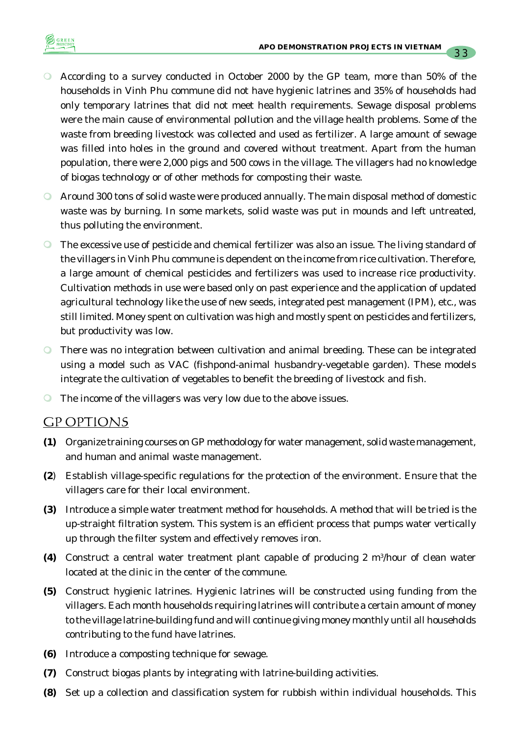33

- According to a survey conducted in October 2000 by the GP team, more than 50% of the households in Vinh Phu commune did not have hygienic latrines and 35% of households had only temporary latrines that did not meet health requirements. Sewage disposal problems were the main cause of environmental pollution and the village health problems. Some of the waste from breeding livestock was collected and used as fertilizer. A large amount of sewage was filled into holes in the ground and covered without treatment. Apart from the human population, there were 2,000 pigs and 500 cows in the village. The villagers had no knowledge of biogas technology or of other methods for composting their waste.
- Around 300 tons of solid waste were produced annually. The main disposal method of domestic waste was by burning. In some markets, solid waste was put in mounds and left untreated, thus polluting the environment.
- The excessive use of pesticide and chemical fertilizer was also an issue. The living standard of the villagers in Vinh Phu commune is dependent on the income from rice cultivation. Therefore, a large amount of chemical pesticides and fertilizers was used to increase rice productivity. Cultivation methods in use were based only on past experience and the application of updated agricultural technology like the use of new seeds, integrated pest management (IPM), etc., was still limited. Money spent on cultivation was high and mostly spent on pesticides and fertilizers, but productivity was low.
- There was no integration between cultivation and animal breeding. These can be integrated using a model such as VAC (fishpond-animal husbandry-vegetable garden). These models integrate the cultivation of vegetables to benefit the breeding of livestock and fish.
- The income of the villagers was very low due to the above issues.

## GP OPTIONS

- **(1)** Organize training courses on GP methodology for water management, solid waste management, and human and animal waste management.
- **(2**) Establish village-specific regulations for the protection of the environment. Ensure that the villagers care for their local environment.
- **(3)** Introduce a simple water treatment method for households. A method that will be tried is the up-straight filtration system. This system is an efficient process that pumps water vertically up through the filter system and effectively removes iron.
- **(4)** Construct a central water treatment plant capable of producing 2 m3 /hour of clean water located at the clinic in the center of the commune.
- **(5)** Construct hygienic latrines. Hygienic latrines will be constructed using funding from the villagers. Each month households requiring latrines will contribute a certain amount of money to the village latrine-building fund and will continue giving money monthly until all households contributing to the fund have latrines.
- **(6)** Introduce a composting technique for sewage.
- **(7)** Construct biogas plants by integrating with latrine-building activities.
- **(8)** Set up a collection and classification system for rubbish within individual households. This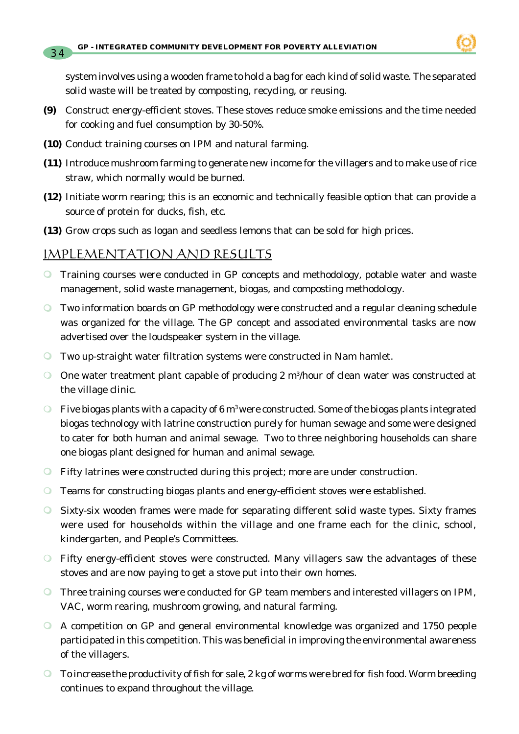system involves using a wooden frame to hold a bag for each kind of solid waste. The separated solid waste will be treated by composting, recycling, or reusing.

- **(9)** Construct energy-efficient stoves. These stoves reduce smoke emissions and the time needed for cooking and fuel consumption by 30-50%.
- **(10)** Conduct training courses on IPM and natural farming.

34

- **(11)** Introduce mushroom farming to generate new income for the villagers and to make use of rice straw, which normally would be burned.
- **(12)** Initiate worm rearing; this is an economic and technically feasible option that can provide a source of protein for ducks, fish, etc.
- **(13)** Grow crops such as logan and seedless lemons that can be sold for high prices.

## IMPLEMENTATION AND RESULTS

- Training courses were conducted in GP concepts and methodology, potable water and waste management, solid waste management, biogas, and composting methodology.
- Two information boards on GP methodology were constructed and a regular cleaning schedule was organized for the village. The GP concept and associated environmental tasks are now advertised over the loudspeaker system in the village.
- Two up-straight water filtration systems were constructed in Nam hamlet.
- O One water treatment plant capable of producing 2 m<sup>3</sup>/hour of clean water was constructed at the village clinic.
- $\bullet$  Five biogas plants with a capacity of 6 m<sup>3</sup> were constructed. Some of the biogas plants integrated biogas technology with latrine construction purely for human sewage and some were designed to cater for both human and animal sewage. Two to three neighboring households can share one biogas plant designed for human and animal sewage.
- Fifty latrines were constructed during this project; more are under construction.
- Teams for constructing biogas plants and energy-efficient stoves were established.
- Sixty-six wooden frames were made for separating different solid waste types. Sixty frames were used for households within the village and one frame each for the clinic, school, kindergarten, and People's Committees.
- Fifty energy-efficient stoves were constructed. Many villagers saw the advantages of these stoves and are now paying to get a stove put into their own homes.
- Three training courses were conducted for GP team members and interested villagers on IPM, VAC, worm rearing, mushroom growing, and natural farming.
- A competition on GP and general environmental knowledge was organized and 1750 people participated in this competition. This was beneficial in improving the environmental awareness of the villagers.
- To increase the productivity of fish for sale, 2 kg of worms were bred for fish food. Worm breeding continues to expand throughout the village.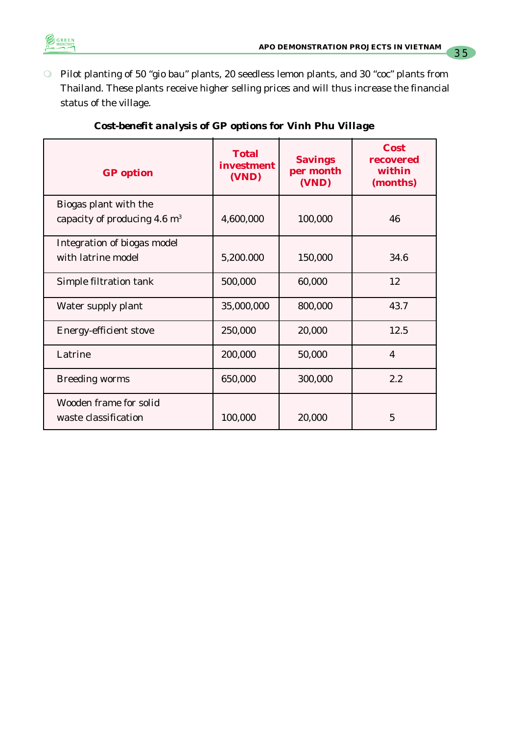

 Pilot planting of 50 "gio bau" plants, 20 seedless lemon plants, and 30 "coc" plants from Thailand. These plants receive higher selling prices and will thus increase the financial status of the village.

| <b>GP</b> option                                                 | Total<br>investment<br>(VND) | <b>Savings</b><br>per month<br>(VND) | Cost<br>recovered<br>within<br>(months) |
|------------------------------------------------------------------|------------------------------|--------------------------------------|-----------------------------------------|
| Biogas plant with the<br>capacity of producing $4.6 \text{ m}^3$ | 4,600,000                    | 100,000                              | 46                                      |
| Integration of biogas model<br>with latrine model                | 5,200.000                    | 150,000                              | 34.6                                    |
| Simple filtration tank                                           | 500,000                      | 60,000                               | 12                                      |
| Water supply plant                                               | 35,000,000                   | 800,000                              | 43.7                                    |
| Energy-efficient stove                                           | 250,000                      | 20,000                               | 12.5                                    |
| Latrine                                                          | 200,000                      | 50,000                               | $\overline{4}$                          |
| <b>Breeding worms</b>                                            | 650,000                      | 300,000                              | 2.2                                     |
| Wooden frame for solid<br>waste classification                   | 100,000                      | 20,000                               | $\overline{5}$                          |

#### *Cost-benefit analysis of GP options for Vinh Phu Village*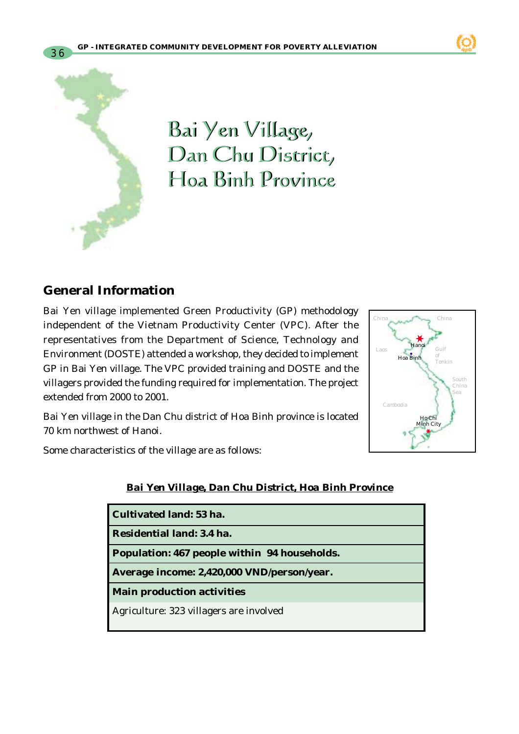



## Bai Yen Village, Bai Yen Village, Dan Chu District, Dan Chu District, Hoa Binh Province Hoa Binh Province

## **General Information**

Bai Yen village implemented Green Productivity (GP) methodology independent of the Vietnam Productivity Center (VPC). After the representatives from the Department of Science, Technology and Environment (DOSTE) attended a workshop, they decided to implement GP in Bai Yen village. The VPC provided training and DOSTE and the villagers provided the funding required for implementation. The project extended from 2000 to 2001.

Bai Yen village in the Dan Chu district of Hoa Binh province is located 70 km northwest of Hanoi.



Some characteristics of the village are as follows:

| Cultivated land: 53 ha.                      |
|----------------------------------------------|
| Residential land: 3.4 ha.                    |
| Population: 467 people within 94 households. |
| Average income: 2,420,000 VND/person/year.   |
| Main production activities                   |
| Agriculture: 323 villagers are involved      |

|  |  | Bai Yen Village, Dan Chu District, Hoa Binh Province |  |  |
|--|--|------------------------------------------------------|--|--|
|  |  |                                                      |  |  |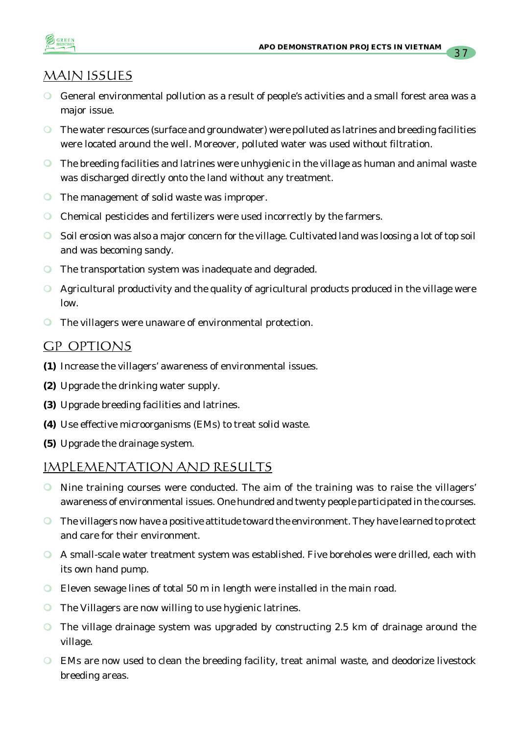

### MAIN ISSUES

- General environmental pollution as a result of people's activities and a small forest area was a major issue.
- The water resources (surface and groundwater) were polluted as latrines and breeding facilities were located around the well. Moreover, polluted water was used without filtration.
- The breeding facilities and latrines were unhygienic in the village as human and animal waste was discharged directly onto the land without any treatment.
- The management of solid waste was improper.
- Chemical pesticides and fertilizers were used incorrectly by the farmers.
- Soil erosion was also a major concern for the village. Cultivated land was loosing a lot of top soil and was becoming sandy.
- The transportation system was inadequate and degraded.
- Agricultural productivity and the quality of agricultural products produced in the village were low.
- The villagers were unaware of environmental protection.

#### GP OPTIONS

- **(1)** Increase the villagers' awareness of environmental issues.
- **(2)** Upgrade the drinking water supply.
- **(3)** Upgrade breeding facilities and latrines.
- **(4)** Use effective microorganisms (EMs) to treat solid waste.
- **(5)** Upgrade the drainage system.

## IMPLEMENTATION AND RESULTS

- Nine training courses were conducted. The aim of the training was to raise the villagers' awareness of environmental issues. One hundred and twenty people participated in the courses.
- **O** The villagers now have a positive attitude toward the environment. They have learned to protect and care for their environment.
- A small-scale water treatment system was established. Five boreholes were drilled, each with its own hand pump.
- Eleven sewage lines of total 50 m in length were installed in the main road.
- The Villagers are now willing to use hygienic latrines.
- The village drainage system was upgraded by constructing 2.5 km of drainage around the village.
- EMs are now used to clean the breeding facility, treat animal waste, and deodorize livestock breeding areas.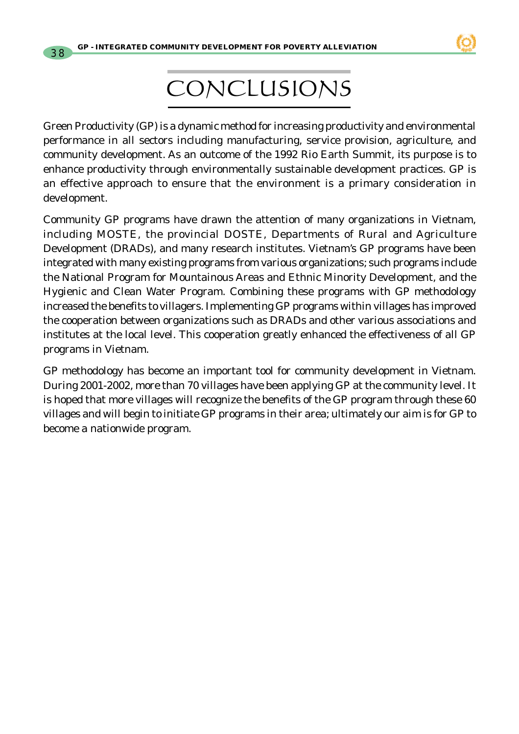38



## CONCLUSIONS

Green Productivity (GP) is a dynamic method for increasing productivity and environmental performance in all sectors including manufacturing, service provision, agriculture, and community development. As an outcome of the 1992 Rio Earth Summit, its purpose is to enhance productivity through environmentally sustainable development practices. GP is an effective approach to ensure that the environment is a primary consideration in development.

Community GP programs have drawn the attention of many organizations in Vietnam, including MOSTE, the provincial DOSTE, Departments of Rural and Agriculture Development (DRADs), and many research institutes. Vietnam's GP programs have been integrated with many existing programs from various organizations; such programs include the National Program for Mountainous Areas and Ethnic Minority Development, and the Hygienic and Clean Water Program. Combining these programs with GP methodology increased the benefits to villagers. Implementing GP programs within villages has improved the cooperation between organizations such as DRADs and other various associations and institutes at the local level. This cooperation greatly enhanced the effectiveness of all GP programs in Vietnam.

GP methodology has become an important tool for community development in Vietnam. During 2001-2002, more than 70 villages have been applying GP at the community level. It is hoped that more villages will recognize the benefits of the GP program through these 60 villages and will begin to initiate GP programs in their area; ultimately our aim is for GP to become a nationwide program.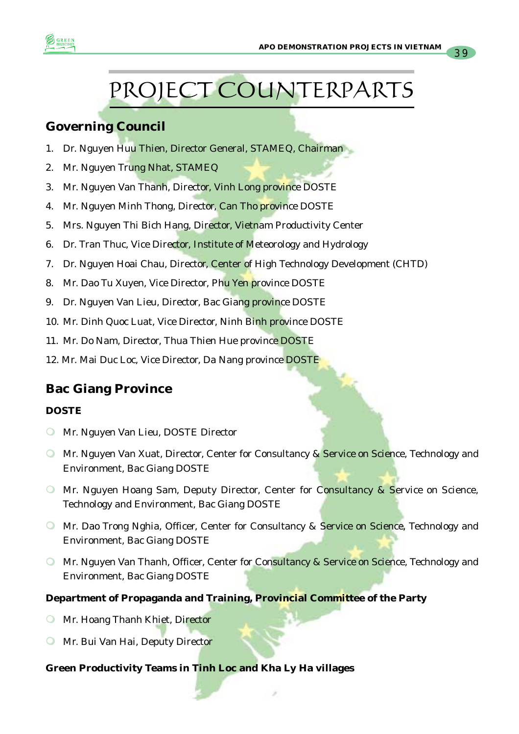

39

## PROJECT COUNTERPARTS

### **Governing Council**

- 1. Dr. Nguyen Huu Thien, Director General, STAMEQ, Chairman
- 2. Mr. Nguyen Trung Nhat, STAMEQ
- 3. Mr. Nguyen Van Thanh, Director, Vinh Long province DOSTE
- 4. Mr. Nguyen Minh Thong, Director, Can Tho province DOSTE
- 5. Mrs. Nguyen Thi Bich Hang, Director, Vietnam Productivity Center
- 6. Dr. Tran Thuc, Vice Director, Institute of Meteorology and Hydrology
- 7. Dr. Nguyen Hoai Chau, Director, Center of High Technology Development (CHTD)
- 8. Mr. Dao Tu Xuyen, Vice Director, Phu Yen province DOSTE
- 9. Dr. Nguyen Van Lieu, Director, Bac Giang province DOSTE
- 10. Mr. Dinh Quoc Luat, Vice Director, Ninh Binh province DOSTE
- 11. Mr. Do Nam, Director, Thua Thien Hue province DOSTE
- 12. Mr. Mai Duc Loc, Vice Director, Da Nang province DOSTE

#### **Bac Giang Province**

#### **DOSTE**

- **O** Mr. Nguyen Van Lieu, DOSTE Director
- **O** Mr. Nguyen Van Xuat, Director, Center for Consultancy & Service on Science, Technology and Environment, Bac Giang DOSTE
- **O** Mr. Nguyen Hoang Sam, Deputy Director, Center for Consultancy & Service on Science, Technology and Environment, Bac Giang DOSTE
- Mr. Dao Trong Nghia, Officer, Center for Consultancy & Service on Science, Technology and Environment, Bac Giang DOSTE
- Mr. Nguyen Van Thanh, Officer, Center for Consultancy & Service on Science, Technology and Environment, Bac Giang DOSTE
- **Department of Propaganda and Training, Provincial Committee of the Party**
- **O** Mr. Hoang Thanh Khiet, Director
- **O** Mr. Bui Van Hai, Deputy Director

**Green Productivity Teams in Tinh Loc and Kha Ly Ha villages**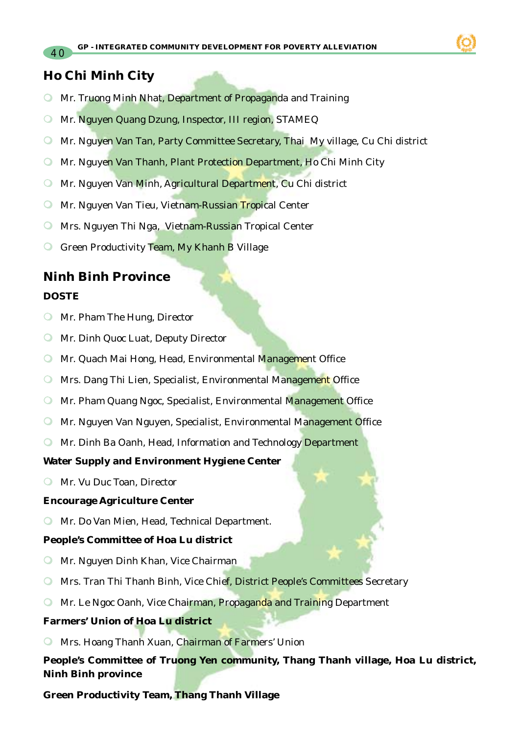#### **Ho Chi Minh City**

40

- Mr. Truong Minh Nhat, Department of Propaganda and Training
- Mr. Nguyen Quang Dzung, Inspector, III region, STAMEQ
- Mr. Nguyen Van Tan, Party Committee Secretary, Thai My village, Cu Chi district
- Mr. Nguyen Van Thanh, Plant Protection Department, Ho Chi Minh City
- Mr. Nguyen Van Minh, Agricultural Department, Cu Chi district
- **O** Mr. Nguyen Van Tieu, Vietnam-Russian Tropical Center
- **O** Mrs. Nguyen Thi Nga, Vietnam-Russian Tropical Center
- **Green Productivity Team, My Khanh B Village**

#### **Ninh Binh Province**

#### **DOSTE**

- **O** Mr. Pham The Hung, Director
- **O** Mr. Dinh Quoc Luat, Deputy Director
- **O** Mr. Quach Mai Hong, Head, Environmental Management Office
- **O** Mrs. Dang Thi Lien, Specialist, Environmental Management Office
- Mr. Pham Quang Ngoc, Specialist, Environmental Management Office
- **Mr. Nguyen Van Nguyen, Specialist, Environmental Management Office**
- Mr. Dinh Ba Oanh, Head, Information and Technology Department

**Water Supply and Environment Hygiene Center**

**O** Mr. Vu Duc Toan, Director

**Encourage Agriculture Center**

Mr. Do Van Mien, Head, Technical Department.

**People's Committee of Hoa Lu district**

- **O** Mr. Nguyen Dinh Khan, Vice Chairman
- Mrs. Tran Thi Thanh Binh, Vice Chief, District People's Committees Secretary
- Mr. Le Ngoc Oanh, Vice Chairman, Propaganda and Training Department

#### **Farmers' Union of Hoa Lu district**

**O** Mrs. Hoang Thanh Xuan, Chairman of Farmers' Union

**People's Committee of Truong Yen community, Thang Thanh village, Hoa Lu district, Ninh Binh province**

**Green Productivity Team, Thang Thanh Village**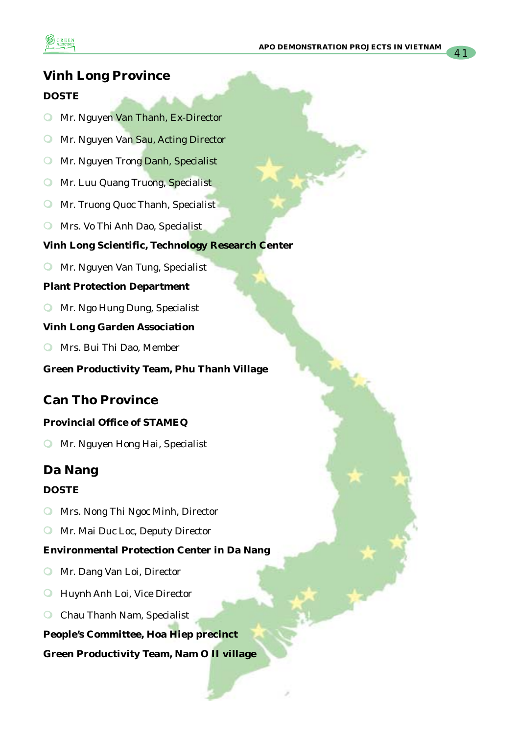

41

#### **Vinh Long Province**

**DOSTE**

- **O** Mr. Nguyen Van Thanh, Ex-Director
- **O** Mr. Nguyen Van Sau, Acting Director
- **Mr. Nguyen Trong Danh, Specialist**
- **O** Mr. Luu Quang Truong, Specialist
- Mr. Truong Quoc Thanh, Specialist
- Mrs. Vo Thi Anh Dao, Specialist
- **Vinh Long Scientific, Technology Research Center**
- **O** Mr. Nguyen Van Tung, Specialist
- **Plant Protection Department**
- Mr. Ngo Hung Dung, Specialist
- **Vinh Long Garden Association**
- Mrs. Bui Thi Dao, Member
- **Green Productivity Team, Phu Thanh Village**

#### **Can Tho Province**

**Provincial Office of STAMEQ**

**O** Mr. Nguyen Hong Hai, Specialist

#### **Da Nang**

**DOSTE**

- Mrs. Nong Thi Ngoc Minh, Director
- Mr. Mai Duc Loc, Deputy Director
- **Environmental Protection Center in Da Nang**
- Mr. Dang Van Loi, Director
- Huynh Anh Loi, Vice Director
- **O** Chau Thanh Nam, Specialist
- **People's Committee, Hoa Hiep precinct**
- **Green Productivity Team, Nam O II village**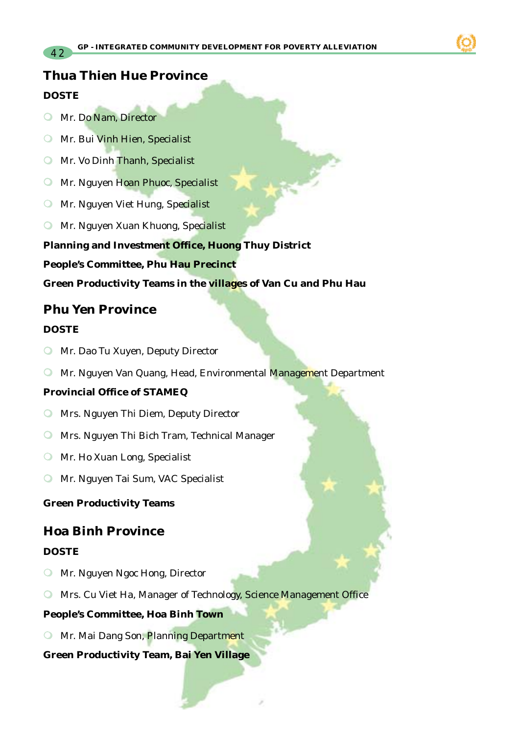

#### **Thua Thien Hue Province**

#### **DOSTE**

42

- Mr. Do Nam, Director
- **O** Mr. Bui Vinh Hien, Specialist
- Mr. Vo Dinh Thanh, Specialist
- **O** Mr. Nguyen Hoan Phuoc, Specialist
- **O** Mr. Nguyen Viet Hung, Specialist
- **O** Mr. Nguyen Xuan Khuong, Specialist

**Planning and Investment Office, Huong Thuy District**

**People's Committee, Phu Hau Precinct**

**Green Productivity Teams in the villages of Van Cu and Phu Hau**

#### **Phu Yen Province**

#### **DOSTE**

- Mr. Dao Tu Xuyen, Deputy Director
- **O** Mr. Nguyen Van Quang, Head, Environmental Management Department

#### **Provincial Office of STAMEQ**

- **O** Mrs. Nguyen Thi Diem, Deputy Director
- **O** Mrs. Nguyen Thi Bich Tram, Technical Manager
- **O** Mr. Ho Xuan Long, Specialist
- **O** Mr. Nguyen Tai Sum, VAC Specialist

**Green Productivity Teams**

## **Hoa Binh Province**

#### **DOSTE**

- Mr. Nguyen Ngoc Hong, Director
- Mrs. Cu Viet Ha, Manager of Technology, Science Management Office

**People's Committee, Hoa Binh Town**

**O** Mr. Mai Dang Son, Planning Department

**Green Productivity Team, Bai Yen Village**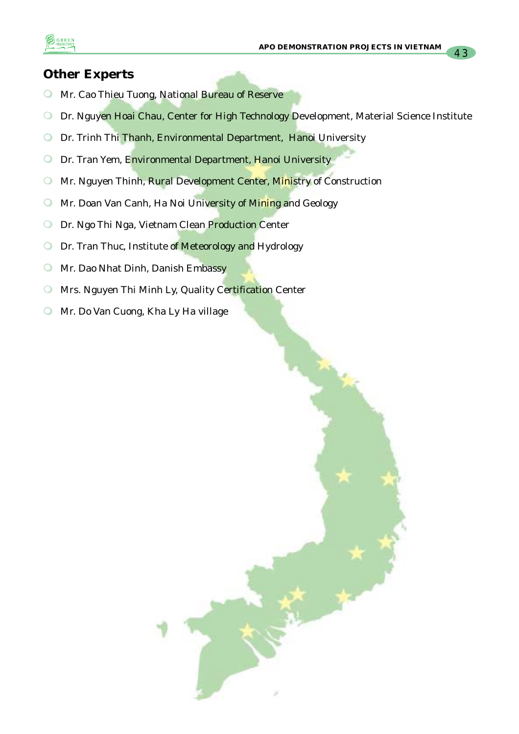

43

#### **Other Experts**

- **O** Mr. Cao Thieu Tuong, National Bureau of Reserve
- O Dr. Nguyen Hoai Chau, Center for High Technology Development, Material Science Institute
- Dr. Trinh Thi Thanh, Environmental Department, Hanoi University
- O Dr. Tran Yem, Environmental Department, Hanoi University
- **O** Mr. Nguyen Thinh, Rural Development Center, Ministry of Construction
- Mr. Doan Van Canh, Ha Noi University of Mining and Geology
- O Dr. Ngo Thi Nga, Vietnam Clean Production Center
- **O** Dr. Tran Thuc, Institute of Meteorology and Hydrology
- **O** Mr. Dao Nhat Dinh, Danish Embassy
- **O** Mrs. Nguyen Thi Minh Ly, Quality Certification Center
- Mr. Do Van Cuong, Kha Ly Ha village